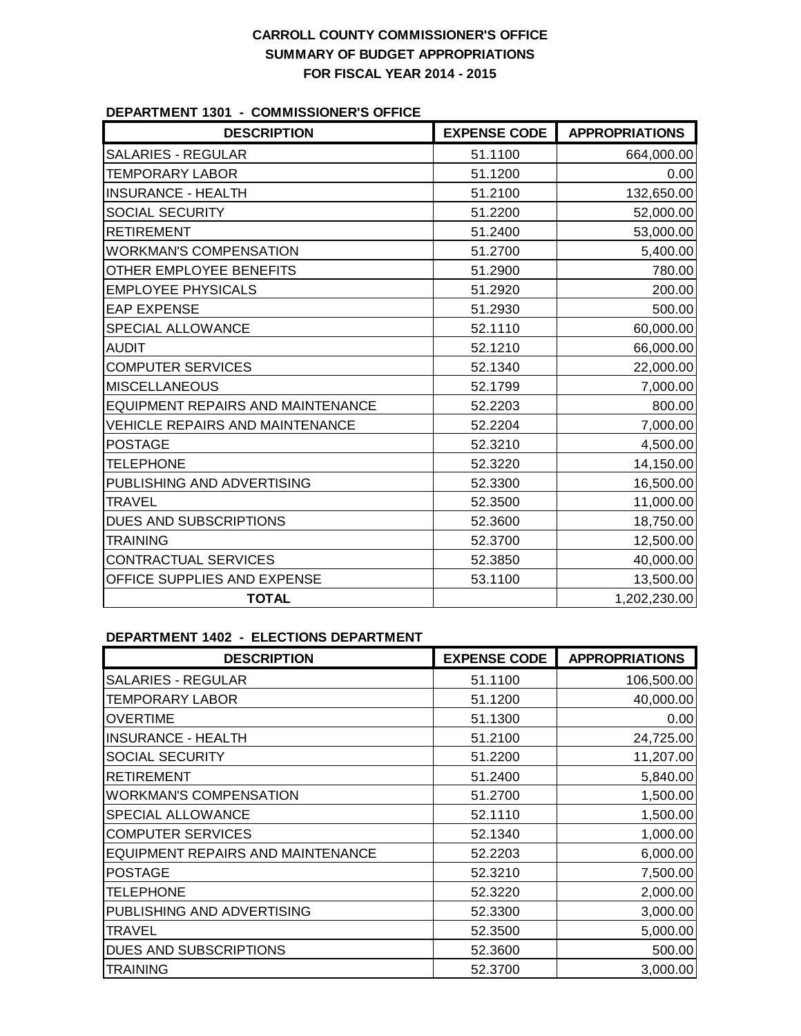# **CARROLL COUNTY COMMISSIONER'S OFFICE SUMMARY OF BUDGET APPROPRIATIONS FOR FISCAL YEAR 2014 - 2015**

### **DEPARTMENT 1301 - COMMISSIONER'S OFFICE**

| <b>DESCRIPTION</b>                     | <b>EXPENSE CODE</b> | <b>APPROPRIATIONS</b> |
|----------------------------------------|---------------------|-----------------------|
| <b>SALARIES - REGULAR</b>              | 51.1100             | 664,000.00            |
| <b>TEMPORARY LABOR</b>                 | 51.1200             | 0.00                  |
| <b>INSURANCE - HEALTH</b>              | 51.2100             | 132,650.00            |
| <b>SOCIAL SECURITY</b>                 | 51.2200             | 52,000.00             |
| <b>RETIREMENT</b>                      | 51.2400             | 53,000.00             |
| <b>WORKMAN'S COMPENSATION</b>          | 51.2700             | 5,400.00              |
| OTHER EMPLOYEE BENEFITS                | 51.2900             | 780.00                |
| <b>EMPLOYEE PHYSICALS</b>              | 51.2920             | 200.00                |
| <b>EAP EXPENSE</b>                     | 51.2930             | 500.00                |
| SPECIAL ALLOWANCE                      | 52.1110             | 60,000.00             |
| <b>AUDIT</b>                           | 52.1210             | 66,000.00             |
| <b>COMPUTER SERVICES</b>               | 52.1340             | 22,000.00             |
| <b>MISCELLANEOUS</b>                   | 52.1799             | 7,000.00              |
| EQUIPMENT REPAIRS AND MAINTENANCE      | 52.2203             | 800.00                |
| <b>VEHICLE REPAIRS AND MAINTENANCE</b> | 52.2204             | 7,000.00              |
| <b>POSTAGE</b>                         | 52.3210             | 4,500.00              |
| <b>TELEPHONE</b>                       | 52.3220             | 14,150.00             |
| PUBLISHING AND ADVERTISING             | 52.3300             | 16,500.00             |
| <b>TRAVEL</b>                          | 52.3500             | 11,000.00             |
| DUES AND SUBSCRIPTIONS                 | 52.3600             | 18,750.00             |
| <b>TRAINING</b>                        | 52.3700             | 12,500.00             |
| <b>CONTRACTUAL SERVICES</b>            | 52.3850             | 40,000.00             |
| OFFICE SUPPLIES AND EXPENSE            | 53.1100             | 13,500.00             |
| <b>TOTAL</b>                           |                     | 1,202,230.00          |

### **DEPARTMENT 1402 - ELECTIONS DEPARTMENT**

| <b>DESCRIPTION</b>                | <b>EXPENSE CODE</b> | <b>APPROPRIATIONS</b> |
|-----------------------------------|---------------------|-----------------------|
| <b>SALARIES - REGULAR</b>         | 51.1100             | 106,500.00            |
| <b>TEMPORARY LABOR</b>            | 51.1200             | 40,000.00             |
| <b>OVERTIME</b>                   | 51.1300             | 0.00                  |
| <b>INSURANCE - HEALTH</b>         | 51.2100             | 24,725.00             |
| SOCIAL SECURITY                   | 51.2200             | 11,207.00             |
| <b>RETIREMENT</b>                 | 51.2400             | 5,840.00              |
| <b>WORKMAN'S COMPENSATION</b>     | 51.2700             | 1,500.00              |
| SPECIAL ALLOWANCE                 | 52.1110             | 1,500.00              |
| <b>COMPUTER SERVICES</b>          | 52.1340             | 1,000.00              |
| EQUIPMENT REPAIRS AND MAINTENANCE | 52.2203             | 6,000.00              |
| <b>POSTAGE</b>                    | 52.3210             | 7,500.00              |
| <b>TELEPHONE</b>                  | 52.3220             | 2,000.00              |
| PUBLISHING AND ADVERTISING        | 52.3300             | 3,000.00              |
| <b>TRAVEL</b>                     | 52,3500             | 5,000.00              |
| <b>DUES AND SUBSCRIPTIONS</b>     | 52.3600             | 500.00                |
| <b>TRAINING</b>                   | 52,3700             | 3,000.00              |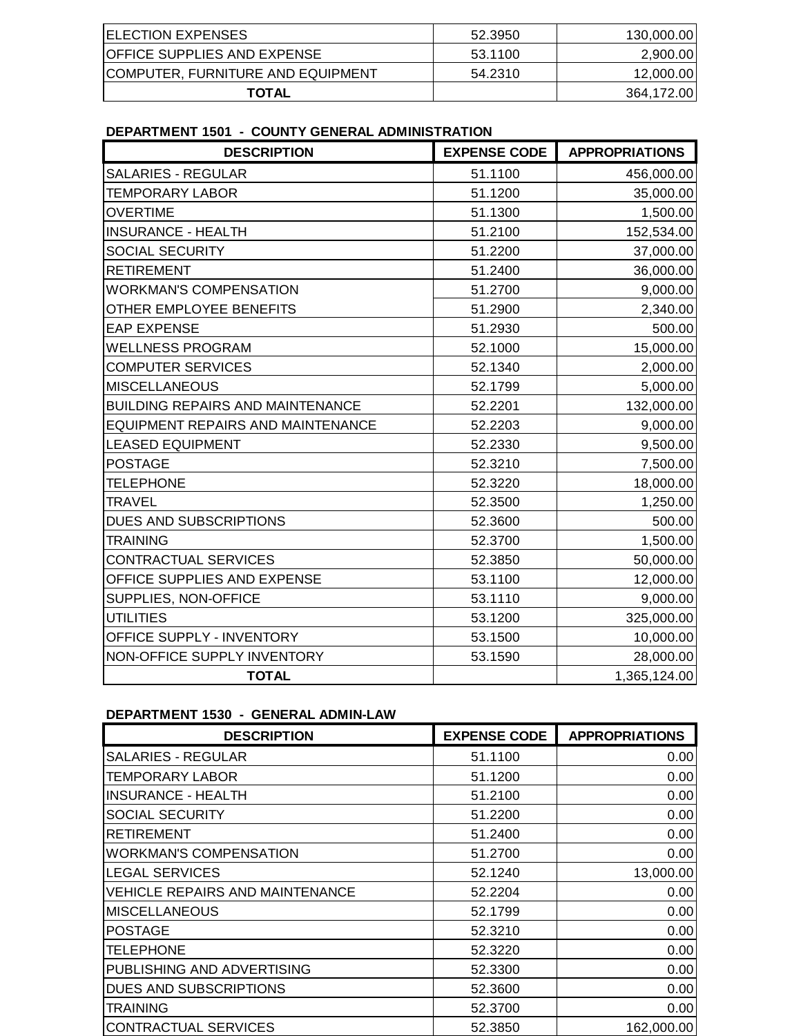| <b>ELECTION EXPENSES</b>           | 52.3950 | 130,000.00 |
|------------------------------------|---------|------------|
| <b>OFFICE SUPPLIES AND EXPENSE</b> | 53.1100 | 2,900.00   |
| COMPUTER, FURNITURE AND EQUIPMENT  | 54.2310 | 12,000.00  |
| TOTAL                              |         | 364,172.00 |

**DEPARTMENT 1501 - COUNTY GENERAL ADMINISTRATION**

| <b>DESCRIPTION</b>                       | <b>EXPENSE CODE</b> | <b>APPROPRIATIONS</b> |
|------------------------------------------|---------------------|-----------------------|
| <b>SALARIES - REGULAR</b>                | 51.1100             | 456,000.00            |
| <b>TEMPORARY LABOR</b>                   | 51.1200             | 35,000.00             |
| <b>OVERTIME</b>                          | 51.1300             | 1,500.00              |
| <b>INSURANCE - HEALTH</b>                | 51.2100             | 152,534.00            |
| <b>SOCIAL SECURITY</b>                   | 51.2200             | 37,000.00             |
| <b>RETIREMENT</b>                        | 51.2400             | 36,000.00             |
| <b>WORKMAN'S COMPENSATION</b>            | 51.2700             | 9,000.00              |
| OTHER EMPLOYEE BENEFITS                  | 51.2900             | 2,340.00              |
| <b>EAP EXPENSE</b>                       | 51.2930             | 500.00                |
| <b>WELLNESS PROGRAM</b>                  | 52.1000             | 15,000.00             |
| <b>COMPUTER SERVICES</b>                 | 52.1340             | 2,000.00              |
| <b>MISCELLANEOUS</b>                     | 52.1799             | 5,000.00              |
| <b>BUILDING REPAIRS AND MAINTENANCE</b>  | 52.2201             | 132,000.00            |
| <b>EQUIPMENT REPAIRS AND MAINTENANCE</b> | 52.2203             | 9,000.00              |
| <b>LEASED EQUIPMENT</b>                  | 52.2330             | 9,500.00              |
| <b>POSTAGE</b>                           | 52.3210             | 7,500.00              |
| <b>TELEPHONE</b>                         | 52.3220             | 18,000.00             |
| <b>TRAVEL</b>                            | 52.3500             | 1,250.00              |
| DUES AND SUBSCRIPTIONS                   | 52.3600             | 500.00                |
| <b>TRAINING</b>                          | 52.3700             | 1,500.00              |
| <b>CONTRACTUAL SERVICES</b>              | 52.3850             | 50,000.00             |
| OFFICE SUPPLIES AND EXPENSE              | 53.1100             | 12,000.00             |
| SUPPLIES, NON-OFFICE                     | 53.1110             | 9,000.00              |
| <b>UTILITIES</b>                         | 53.1200             | 325,000.00            |
| OFFICE SUPPLY - INVENTORY                | 53.1500             | 10,000.00             |
| NON-OFFICE SUPPLY INVENTORY              | 53.1590             | 28,000.00             |
| <b>TOTAL</b>                             |                     | 1,365,124.00          |

# **DEPARTMENT 1530 - GENERAL ADMIN-LAW**

| <b>DESCRIPTION</b>                     | <b>EXPENSE CODE</b> | <b>APPROPRIATIONS</b> |
|----------------------------------------|---------------------|-----------------------|
| <b>SALARIES - REGULAR</b>              | 51.1100             | 0.00                  |
| <b>TEMPORARY LABOR</b>                 | 51.1200             | 0.00                  |
| <b>INSURANCE - HEALTH</b>              | 51.2100             | 0.00                  |
| <b>SOCIAL SECURITY</b>                 | 51.2200             | 0.00                  |
| <b>RETIREMENT</b>                      | 51.2400             | 0.00                  |
| <b>WORKMAN'S COMPENSATION</b>          | 51.2700             | 0.00                  |
| <b>LEGAL SERVICES</b>                  | 52.1240             | 13,000.00             |
| <b>VEHICLE REPAIRS AND MAINTENANCE</b> | 52.2204             | 0.00                  |
| <b>MISCELLANEOUS</b>                   | 52.1799             | 0.00                  |
| <b>POSTAGE</b>                         | 52.3210             | 0.00                  |
| <b>TELEPHONE</b>                       | 52.3220             | 0.00                  |
| PUBLISHING AND ADVERTISING             | 52,3300             | 0.00                  |
| <b>DUES AND SUBSCRIPTIONS</b>          | 52.3600             | 0.00                  |
| <b>TRAINING</b>                        | 52.3700             | 0.00                  |
| <b>CONTRACTUAL SERVICES</b>            | 52.3850             | 162,000.00            |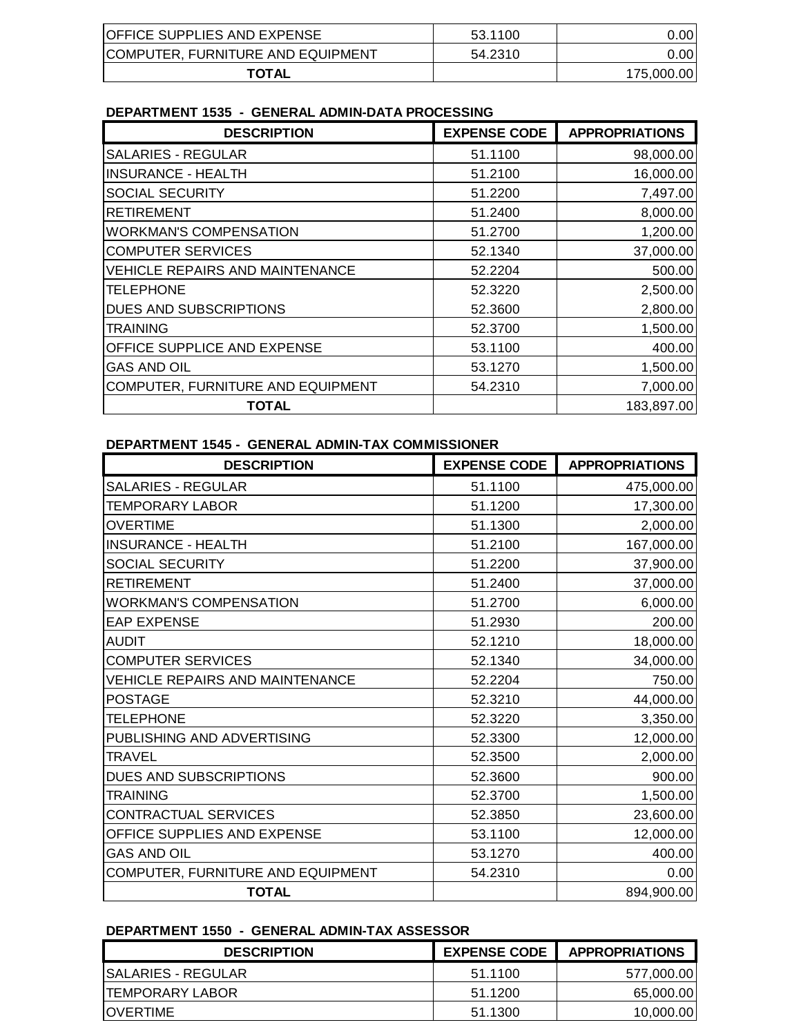| <b>OFFICE SUPPLIES AND EXPENSE</b> | 53.1100 | 0.001      |
|------------------------------------|---------|------------|
| COMPUTER, FURNITURE AND EQUIPMENT  | 54.2310 | 0.00I      |
| <b>TOTAL</b>                       |         | 175.000.00 |

### **DEPARTMENT 1535 - GENERAL ADMIN-DATA PROCESSING**

| <b>DESCRIPTION</b>                     | <b>EXPENSE CODE</b> | <b>APPROPRIATIONS</b> |
|----------------------------------------|---------------------|-----------------------|
| <b>SALARIES - REGULAR</b>              | 51.1100             | 98,000.00             |
| <b>INSURANCE - HEALTH</b>              | 51.2100             | 16,000.00             |
| <b>SOCIAL SECURITY</b>                 | 51.2200             | 7,497.00              |
| <b>RETIREMENT</b>                      | 51.2400             | 8,000.00              |
| <b>WORKMAN'S COMPENSATION</b>          | 51.2700             | 1,200.00              |
| <b>COMPUTER SERVICES</b>               | 52.1340             | 37,000.00             |
| <b>VEHICLE REPAIRS AND MAINTENANCE</b> | 52.2204             | 500.00                |
| <b>TELEPHONE</b>                       | 52.3220             | 2,500.00              |
| <b>DUES AND SUBSCRIPTIONS</b>          | 52.3600             | 2,800.00              |
| <b>TRAINING</b>                        | 52,3700             | 1,500.00              |
| <b>OFFICE SUPPLICE AND EXPENSE</b>     | 53.1100             | 400.00                |
| <b>GAS AND OIL</b>                     | 53.1270             | 1,500.00              |
| COMPUTER, FURNITURE AND EQUIPMENT      | 54.2310             | 7,000.00              |
| TOTAL                                  |                     | 183,897.00            |

### **DEPARTMENT 1545 - GENERAL ADMIN-TAX COMMISSIONER**

| <b>DESCRIPTION</b>                     | <b>EXPENSE CODE</b> | <b>APPROPRIATIONS</b> |
|----------------------------------------|---------------------|-----------------------|
| <b>SALARIES - REGULAR</b>              | 51.1100             | 475,000.00            |
| <b>TEMPORARY LABOR</b>                 | 51.1200             | 17,300.00             |
| <b>OVERTIME</b>                        | 51.1300             | 2,000.00              |
| <b>INSURANCE - HEALTH</b>              | 51.2100             | 167,000.00            |
| SOCIAL SECURITY                        | 51.2200             | 37,900.00             |
| <b>RETIREMENT</b>                      | 51.2400             | 37,000.00             |
| <b>WORKMAN'S COMPENSATION</b>          | 51.2700             | 6,000.00              |
| <b>EAP EXPENSE</b>                     | 51.2930             | 200.00                |
| <b>AUDIT</b>                           | 52.1210             | 18,000.00             |
| <b>COMPUTER SERVICES</b>               | 52.1340             | 34,000.00             |
| <b>VEHICLE REPAIRS AND MAINTENANCE</b> | 52.2204             | 750.00                |
| <b>POSTAGE</b>                         | 52.3210             | 44,000.00             |
| <b>TELEPHONE</b>                       | 52.3220             | 3,350.00              |
| PUBLISHING AND ADVERTISING             | 52.3300             | 12,000.00             |
| <b>TRAVEL</b>                          | 52.3500             | 2,000.00              |
| DUES AND SUBSCRIPTIONS                 | 52.3600             | 900.00                |
| <b>TRAINING</b>                        | 52.3700             | 1,500.00              |
| <b>CONTRACTUAL SERVICES</b>            | 52.3850             | 23,600.00             |
| OFFICE SUPPLIES AND EXPENSE            | 53.1100             | 12,000.00             |
| <b>GAS AND OIL</b>                     | 53.1270             | 400.00                |
| COMPUTER, FURNITURE AND EQUIPMENT      | 54.2310             | 0.00                  |
| <b>TOTAL</b>                           |                     | 894,900.00            |

## **DEPARTMENT 1550 - GENERAL ADMIN-TAX ASSESSOR**

| <b>DESCRIPTION</b>  | <b>EXPENSE CODE</b> | <b>APPROPRIATIONS</b> |
|---------------------|---------------------|-----------------------|
| ISALARIES - REGULAR | 51.1100             | 577,000.001           |
| ITEMPORARY LABOR    | 51.1200             | 65,000.00             |
| <b>IOVERTIME</b>    | 51.1300             | 10,000.00             |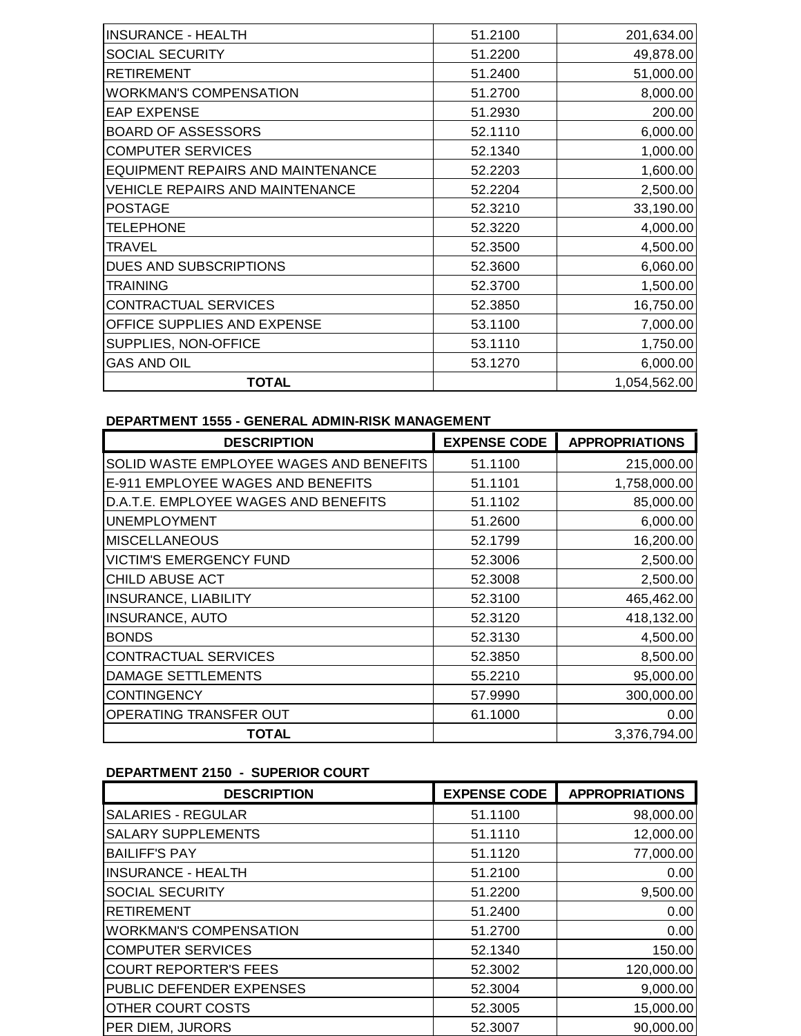| 51.2100 | 201,634.00   |
|---------|--------------|
| 51.2200 | 49,878.00    |
| 51.2400 | 51,000.00    |
| 51.2700 | 8,000.00     |
| 51.2930 | 200.00       |
| 52.1110 | 6,000.00     |
| 52.1340 | 1,000.00     |
| 52.2203 | 1,600.00     |
| 52.2204 | 2,500.00     |
| 52.3210 | 33,190.00    |
| 52.3220 | 4,000.00     |
| 52.3500 | 4,500.00     |
| 52.3600 | 6,060.00     |
| 52.3700 | 1,500.00     |
| 52.3850 | 16,750.00    |
| 53.1100 | 7,000.00     |
| 53.1110 | 1,750.00     |
| 53.1270 | 6,000.00     |
|         | 1,054,562.00 |
|         |              |

## **DEPARTMENT 1555 - GENERAL ADMIN-RISK MANAGEMENT**

| <b>DESCRIPTION</b>                      | <b>EXPENSE CODE</b> | <b>APPROPRIATIONS</b> |
|-----------------------------------------|---------------------|-----------------------|
| SOLID WASTE EMPLOYEE WAGES AND BENEFITS | 51.1100             | 215,000.00            |
| E-911 EMPLOYEE WAGES AND BENEFITS       | 51.1101             | 1,758,000.00          |
| D.A.T.E. EMPLOYEE WAGES AND BENEFITS    | 51.1102             | 85,000.00             |
| <b>UNEMPLOYMENT</b>                     | 51.2600             | 6,000.00              |
| <b>MISCELLANEOUS</b>                    | 52.1799             | 16,200.00             |
| <b>VICTIM'S EMERGENCY FUND</b>          | 52.3006             | 2,500.00              |
| CHILD ABUSE ACT                         | 52,3008             | 2,500.00              |
| <b>INSURANCE, LIABILITY</b>             | 52.3100             | 465,462.00            |
| <b>INSURANCE, AUTO</b>                  | 52.3120             | 418,132.00            |
| <b>BONDS</b>                            | 52.3130             | 4,500.00              |
| <b>CONTRACTUAL SERVICES</b>             | 52.3850             | 8,500.00              |
| DAMAGE SETTLEMENTS                      | 55.2210             | 95,000.00             |
| <b>CONTINGENCY</b>                      | 57.9990             | 300,000.00            |
| OPERATING TRANSFER OUT                  | 61.1000             | 0.00                  |
| <b>TOTAL</b>                            |                     | 3,376,794.00          |

# **DEPARTMENT 2150 - SUPERIOR COURT**

| <b>DESCRIPTION</b>            | <b>EXPENSE CODE</b> | <b>APPROPRIATIONS</b> |
|-------------------------------|---------------------|-----------------------|
| <b>SALARIES - REGULAR</b>     | 51.1100             | 98,000.00             |
| <b>SALARY SUPPLEMENTS</b>     | 51.1110             | 12,000.00             |
| <b>BAILIFF'S PAY</b>          | 51.1120             | 77,000.00             |
| <b>INSURANCE - HEALTH</b>     | 51.2100             | 0.00                  |
| <b>SOCIAL SECURITY</b>        | 51.2200             | 9,500.00              |
| <b>RETIREMENT</b>             | 51.2400             | 0.00                  |
| <b>WORKMAN'S COMPENSATION</b> | 51.2700             | 0.00                  |
| <b>COMPUTER SERVICES</b>      | 52.1340             | 150.00                |
| <b>COURT REPORTER'S FEES</b>  | 52.3002             | 120,000.00            |
| PUBLIC DEFENDER EXPENSES      | 52.3004             | 9,000.00              |
| <b>OTHER COURT COSTS</b>      | 52,3005             | 15,000.00             |
| PER DIEM, JURORS              | 52.3007             | 90,000.00             |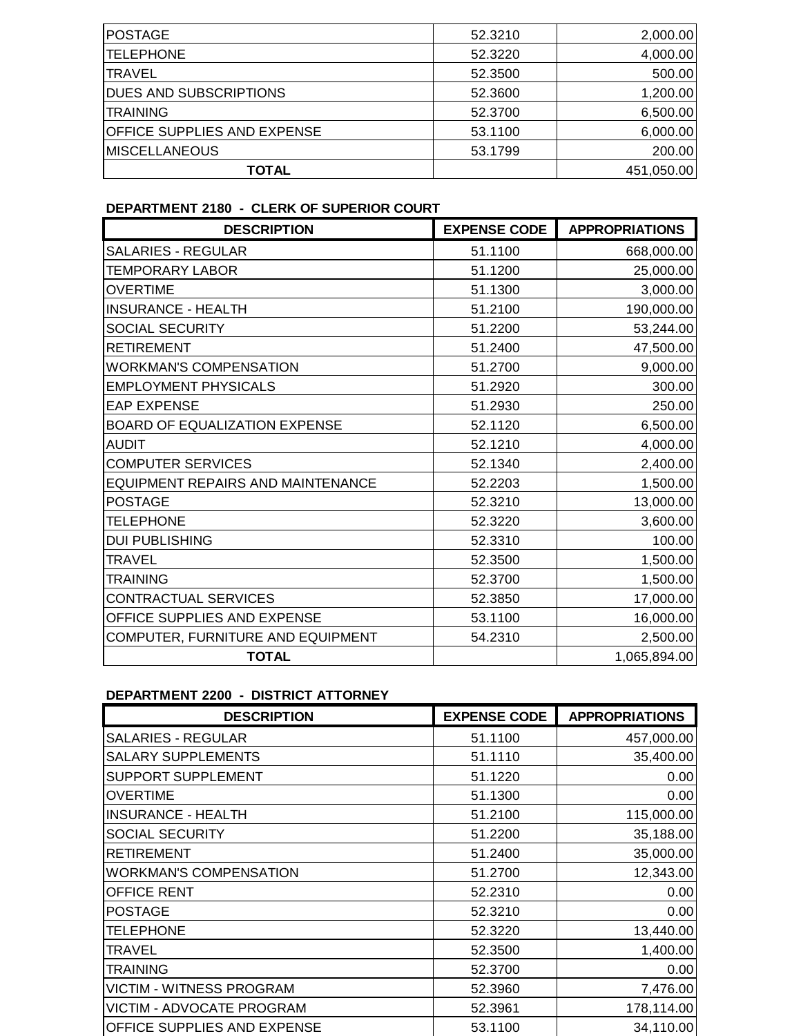| POSTAGE                            | 52.3210 | 2,000.00   |
|------------------------------------|---------|------------|
| <b>ITELEPHONE</b>                  | 52.3220 | 4,000.00   |
| <b>ITRAVEL</b>                     | 52.3500 | 500.00     |
| <b>DUES AND SUBSCRIPTIONS</b>      | 52.3600 | 1,200.00   |
| <b>TRAINING</b>                    | 52.3700 | 6,500.00   |
| <b>OFFICE SUPPLIES AND EXPENSE</b> | 53.1100 | 6,000.00   |
| <b>MISCELLANEOUS</b>               | 53.1799 | 200.00     |
| <b>TOTAL</b>                       |         | 451,050.00 |

### **DEPARTMENT 2180 - CLERK OF SUPERIOR COURT**

| <b>DESCRIPTION</b>                | <b>EXPENSE CODE</b> | <b>APPROPRIATIONS</b> |
|-----------------------------------|---------------------|-----------------------|
| SALARIES - REGULAR                | 51.1100             | 668,000.00            |
| <b>TEMPORARY LABOR</b>            | 51.1200             | 25,000.00             |
| <b>OVERTIME</b>                   | 51.1300             | 3,000.00              |
| <b>INSURANCE - HEALTH</b>         | 51.2100             | 190,000.00            |
| SOCIAL SECURITY                   | 51.2200             | 53,244.00             |
| <b>RETIREMENT</b>                 | 51.2400             | 47,500.00             |
| <b>WORKMAN'S COMPENSATION</b>     | 51.2700             | 9,000.00              |
| <b>EMPLOYMENT PHYSICALS</b>       | 51.2920             | 300.00                |
| <b>EAP EXPENSE</b>                | 51.2930             | 250.00                |
| BOARD OF EQUALIZATION EXPENSE     | 52.1120             | 6,500.00              |
| <b>AUDIT</b>                      | 52.1210             | 4,000.00              |
| <b>COMPUTER SERVICES</b>          | 52.1340             | 2,400.00              |
| EQUIPMENT REPAIRS AND MAINTENANCE | 52.2203             | 1,500.00              |
| <b>POSTAGE</b>                    | 52.3210             | 13,000.00             |
| <b>TELEPHONE</b>                  | 52.3220             | 3,600.00              |
| <b>DUI PUBLISHING</b>             | 52.3310             | 100.00                |
| <b>TRAVEL</b>                     | 52.3500             | 1,500.00              |
| <b>TRAINING</b>                   | 52.3700             | 1,500.00              |
| CONTRACTUAL SERVICES              | 52.3850             | 17,000.00             |
| OFFICE SUPPLIES AND EXPENSE       | 53.1100             | 16,000.00             |
| COMPUTER, FURNITURE AND EQUIPMENT | 54.2310             | 2,500.00              |
| <b>TOTAL</b>                      |                     | 1,065,894.00          |

# **DEPARTMENT 2200 - DISTRICT ATTORNEY**

| <b>DESCRIPTION</b>              | <b>EXPENSE CODE</b> | <b>APPROPRIATIONS</b> |
|---------------------------------|---------------------|-----------------------|
| <b>SALARIES - REGULAR</b>       | 51.1100             | 457,000.00            |
| <b>SALARY SUPPLEMENTS</b>       | 51.1110             | 35,400.00             |
| <b>SUPPORT SUPPLEMENT</b>       | 51.1220             | 0.00                  |
| <b>OVERTIME</b>                 | 51.1300             | 0.00                  |
| <b>INSURANCE - HEALTH</b>       | 51.2100             | 115,000.00            |
| <b>SOCIAL SECURITY</b>          | 51.2200             | 35,188.00             |
| <b>RETIREMENT</b>               | 51.2400             | 35,000.00             |
| <b>WORKMAN'S COMPENSATION</b>   | 51.2700             | 12,343.00             |
| OFFICE RENT                     | 52.2310             | 0.00                  |
| <b>POSTAGE</b>                  | 52.3210             | 0.00                  |
| <b>TELEPHONE</b>                | 52.3220             | 13,440.00             |
| <b>TRAVEL</b>                   | 52,3500             | 1,400.00              |
| <b>TRAINING</b>                 | 52.3700             | 0.00                  |
| <b>VICTIM - WITNESS PROGRAM</b> | 52.3960             | 7,476.00              |
| VICTIM - ADVOCATE PROGRAM       | 52.3961             | 178,114.00            |
| OFFICE SUPPLIES AND EXPENSE     | 53.1100             | 34,110.00             |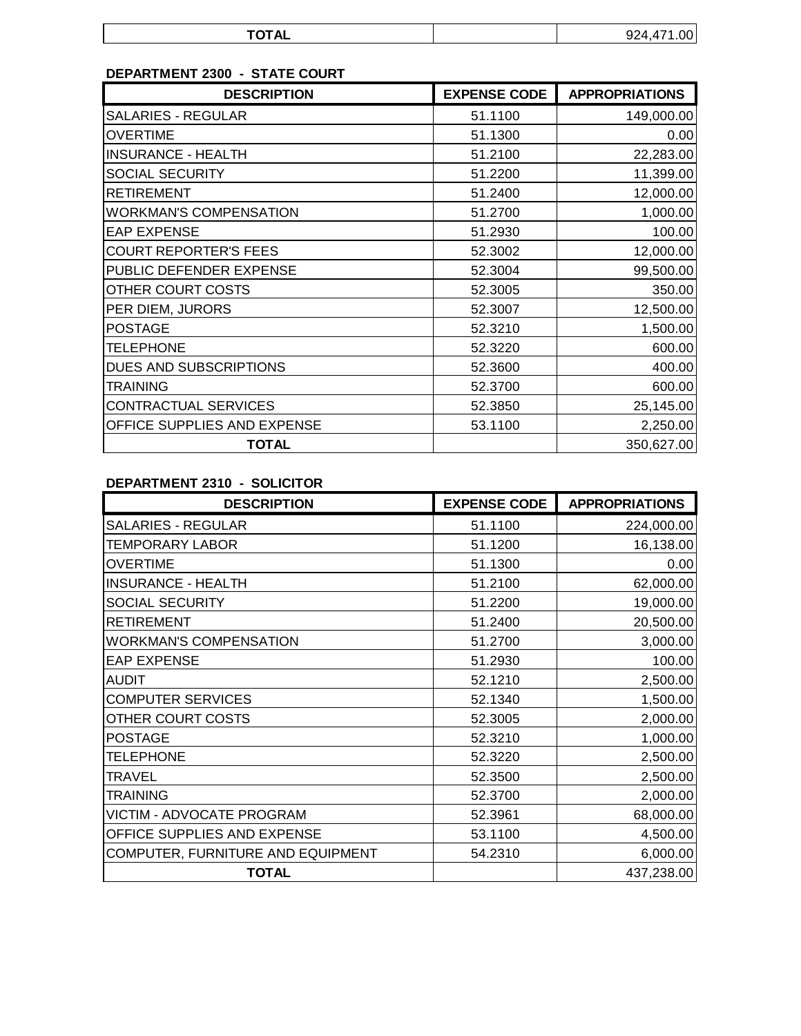| -----<br>או טו |  |
|----------------|--|

# **DEPARTMENT 2300 - STATE COURT**

| <b>DESCRIPTION</b>            | <b>EXPENSE CODE</b> | <b>APPROPRIATIONS</b> |
|-------------------------------|---------------------|-----------------------|
| <b>SALARIES - REGULAR</b>     | 51.1100             | 149,000.00            |
| <b>OVERTIME</b>               | 51.1300             | 0.00                  |
| <b>INSURANCE - HEALTH</b>     | 51.2100             | 22,283.00             |
| <b>SOCIAL SECURITY</b>        | 51.2200             | 11,399.00             |
| <b>RETIREMENT</b>             | 51.2400             | 12,000.00             |
| <b>WORKMAN'S COMPENSATION</b> | 51.2700             | 1,000.00              |
| <b>EAP EXPENSE</b>            | 51.2930             | 100.00                |
| <b>COURT REPORTER'S FEES</b>  | 52.3002             | 12,000.00             |
| PUBLIC DEFENDER EXPENSE       | 52.3004             | 99,500.00             |
| <b>OTHER COURT COSTS</b>      | 52.3005             | 350.00                |
| PER DIEM, JURORS              | 52.3007             | 12,500.00             |
| <b>POSTAGE</b>                | 52.3210             | 1,500.00              |
| <b>TELEPHONE</b>              | 52.3220             | 600.00                |
| DUES AND SUBSCRIPTIONS        | 52.3600             | 400.00                |
| <b>TRAINING</b>               | 52.3700             | 600.00                |
| CONTRACTUAL SERVICES          | 52.3850             | 25,145.00             |
| OFFICE SUPPLIES AND EXPENSE   | 53.1100             | 2,250.00              |
| <b>TOTAL</b>                  |                     | 350,627.00            |

# **DEPARTMENT 2310 - SOLICITOR**

| <b>DESCRIPTION</b>                | <b>EXPENSE CODE</b> | <b>APPROPRIATIONS</b> |
|-----------------------------------|---------------------|-----------------------|
| <b>SALARIES - REGULAR</b>         | 51.1100             | 224,000.00            |
| <b>TEMPORARY LABOR</b>            | 51.1200             | 16,138.00             |
| <b>OVERTIME</b>                   | 51.1300             | 0.00                  |
| <b>INSURANCE - HEALTH</b>         | 51.2100             | 62,000.00             |
| SOCIAL SECURITY                   | 51.2200             | 19,000.00             |
| <b>RETIREMENT</b>                 | 51.2400             | 20,500.00             |
| <b>WORKMAN'S COMPENSATION</b>     | 51.2700             | 3,000.00              |
| <b>EAP EXPENSE</b>                | 51.2930             | 100.00                |
| <b>AUDIT</b>                      | 52.1210             | 2,500.00              |
| <b>COMPUTER SERVICES</b>          | 52.1340             | 1,500.00              |
| OTHER COURT COSTS                 | 52.3005             | 2,000.00              |
| <b>POSTAGE</b>                    | 52.3210             | 1,000.00              |
| <b>TELEPHONE</b>                  | 52.3220             | 2,500.00              |
| <b>TRAVEL</b>                     | 52,3500             | 2,500.00              |
| <b>TRAINING</b>                   | 52.3700             | 2,000.00              |
| VICTIM - ADVOCATE PROGRAM         | 52.3961             | 68,000.00             |
| OFFICE SUPPLIES AND EXPENSE       | 53.1100             | 4,500.00              |
| COMPUTER, FURNITURE AND EQUIPMENT | 54.2310             | 6,000.00              |
| <b>TOTAL</b>                      |                     | 437,238.00            |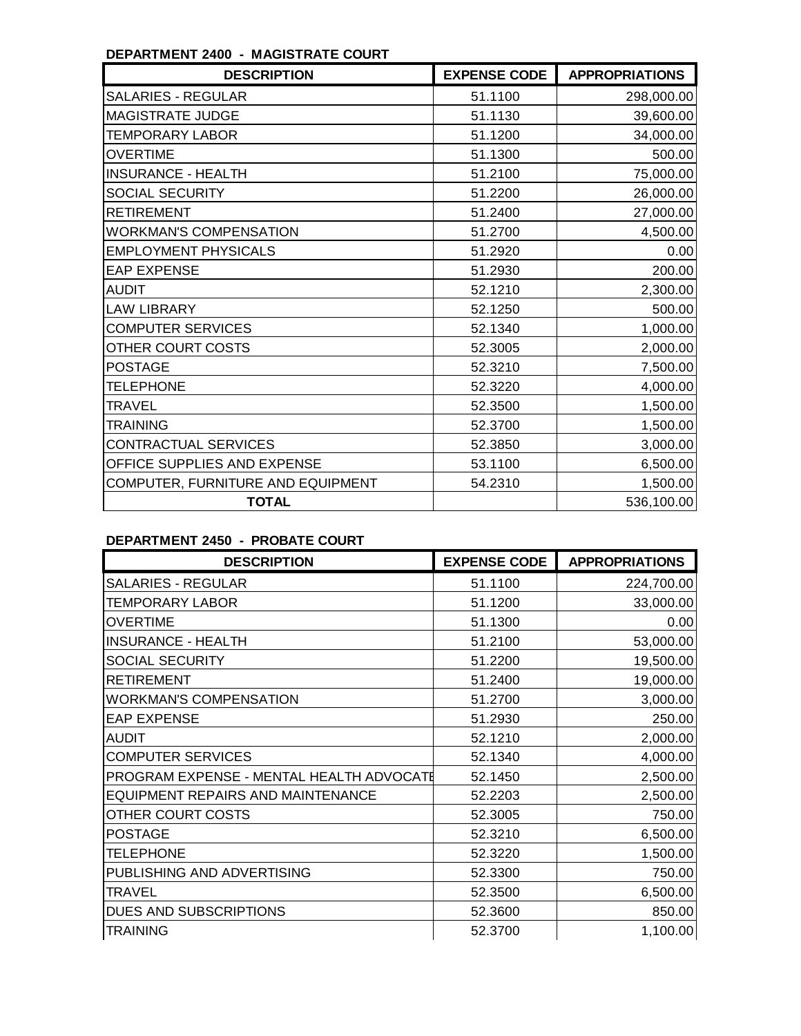| <b>DESCRIPTION</b>                | <b>EXPENSE CODE</b> | <b>APPROPRIATIONS</b> |
|-----------------------------------|---------------------|-----------------------|
| <b>SALARIES - REGULAR</b>         | 51.1100             | 298,000.00            |
| <b>MAGISTRATE JUDGE</b>           | 51.1130             | 39,600.00             |
| <b>TEMPORARY LABOR</b>            | 51.1200             | 34,000.00             |
| <b>OVERTIME</b>                   | 51.1300             | 500.00                |
| <b>INSURANCE - HEALTH</b>         | 51.2100             | 75,000.00             |
| <b>SOCIAL SECURITY</b>            | 51.2200             | 26,000.00             |
| <b>RETIREMENT</b>                 | 51.2400             | 27,000.00             |
| <b>WORKMAN'S COMPENSATION</b>     | 51.2700             | 4,500.00              |
| <b>EMPLOYMENT PHYSICALS</b>       | 51.2920             | 0.00                  |
| <b>EAP EXPENSE</b>                | 51.2930             | 200.00                |
| <b>AUDIT</b>                      | 52.1210             | 2,300.00              |
| <b>LAW LIBRARY</b>                | 52.1250             | 500.00                |
| <b>COMPUTER SERVICES</b>          | 52.1340             | 1,000.00              |
| OTHER COURT COSTS                 | 52.3005             | 2,000.00              |
| <b>POSTAGE</b>                    | 52.3210             | 7,500.00              |
| <b>TELEPHONE</b>                  | 52.3220             | 4,000.00              |
| <b>TRAVEL</b>                     | 52.3500             | 1,500.00              |
| <b>TRAINING</b>                   | 52.3700             | 1,500.00              |
| <b>CONTRACTUAL SERVICES</b>       | 52.3850             | 3,000.00              |
| OFFICE SUPPLIES AND EXPENSE       | 53.1100             | 6,500.00              |
| COMPUTER, FURNITURE AND EQUIPMENT | 54.2310             | 1,500.00              |
| <b>TOTAL</b>                      |                     | 536,100.00            |

### **DEPARTMENT 2400 - MAGISTRATE COURT**

# **DEPARTMENT 2450 - PROBATE COURT**

| <b>DESCRIPTION</b>                       | <b>EXPENSE CODE</b> | <b>APPROPRIATIONS</b> |
|------------------------------------------|---------------------|-----------------------|
| <b>SALARIES - REGULAR</b>                | 51.1100             | 224,700.00            |
| <b>TEMPORARY LABOR</b>                   | 51.1200             | 33,000.00             |
| <b>OVERTIME</b>                          | 51.1300             | 0.00                  |
| <b>INSURANCE - HEALTH</b>                | 51.2100             | 53,000.00             |
| <b>SOCIAL SECURITY</b>                   | 51.2200             | 19,500.00             |
| <b>RETIREMENT</b>                        | 51.2400             | 19,000.00             |
| <b>WORKMAN'S COMPENSATION</b>            | 51.2700             | 3,000.00              |
| <b>EAP EXPENSE</b>                       | 51.2930             | 250.00                |
| <b>AUDIT</b>                             | 52.1210             | 2,000.00              |
| <b>COMPUTER SERVICES</b>                 | 52.1340             | 4,000.00              |
| PROGRAM EXPENSE - MENTAL HEALTH ADVOCATE | 52.1450             | 2,500.00              |
| <b>EQUIPMENT REPAIRS AND MAINTENANCE</b> | 52.2203             | 2,500.00              |
| OTHER COURT COSTS                        | 52.3005             | 750.00                |
| <b>POSTAGE</b>                           | 52.3210             | 6,500.00              |
| <b>TELEPHONE</b>                         | 52.3220             | 1,500.00              |
| PUBLISHING AND ADVERTISING               | 52.3300             | 750.00                |
| <b>TRAVEL</b>                            | 52.3500             | 6,500.00              |
| DUES AND SUBSCRIPTIONS                   | 52.3600             | 850.00                |
| <b>TRAINING</b>                          | 52.3700             | 1,100.00              |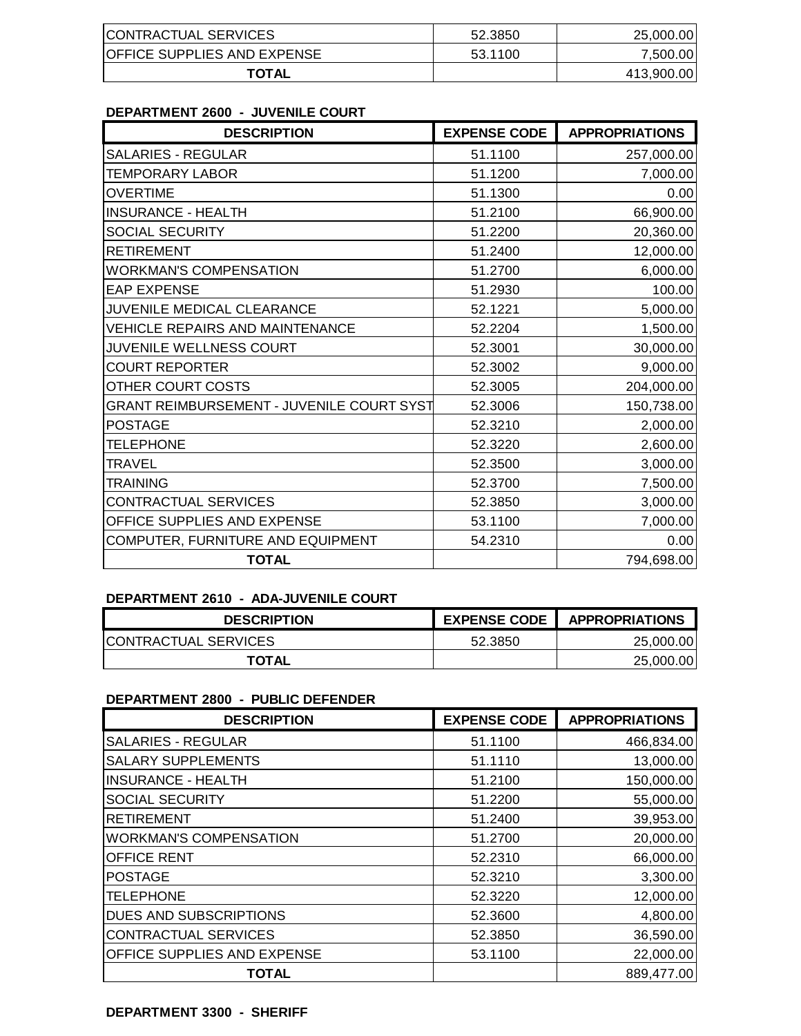| CONTRACTUAL SERVICES               | 52.3850 | 25,000.00  |
|------------------------------------|---------|------------|
| <b>OFFICE SUPPLIES AND EXPENSE</b> | 53.1100 | 7.500.00   |
| <b>TOTAL</b>                       |         | 413,900.00 |

### **DEPARTMENT 2600 - JUVENILE COURT**

| <b>DESCRIPTION</b>                               | <b>EXPENSE CODE</b> | <b>APPROPRIATIONS</b> |
|--------------------------------------------------|---------------------|-----------------------|
| <b>SALARIES - REGULAR</b>                        | 51.1100             | 257,000.00            |
| <b>TEMPORARY LABOR</b>                           | 51.1200             | 7,000.00              |
| <b>OVERTIME</b>                                  | 51.1300             | 0.00                  |
| <b>INSURANCE - HEALTH</b>                        | 51.2100             | 66,900.00             |
| SOCIAL SECURITY                                  | 51.2200             | 20,360.00             |
| <b>RETIREMENT</b>                                | 51.2400             | 12,000.00             |
| <b>WORKMAN'S COMPENSATION</b>                    | 51.2700             | 6,000.00              |
| <b>EAP EXPENSE</b>                               | 51.2930             | 100.00                |
| JUVENILE MEDICAL CLEARANCE                       | 52.1221             | 5,000.00              |
| <b>VEHICLE REPAIRS AND MAINTENANCE</b>           | 52.2204             | 1,500.00              |
| JUVENILE WELLNESS COURT                          | 52.3001             | 30,000.00             |
| <b>COURT REPORTER</b>                            | 52.3002             | 9,000.00              |
| OTHER COURT COSTS                                | 52.3005             | 204,000.00            |
| <b>GRANT REIMBURSEMENT - JUVENILE COURT SYST</b> | 52.3006             | 150,738.00            |
| <b>POSTAGE</b>                                   | 52.3210             | 2,000.00              |
| <b>TELEPHONE</b>                                 | 52.3220             | 2,600.00              |
| <b>TRAVEL</b>                                    | 52.3500             | 3,000.00              |
| <b>TRAINING</b>                                  | 52.3700             | 7,500.00              |
| CONTRACTUAL SERVICES                             | 52.3850             | 3,000.00              |
| OFFICE SUPPLIES AND EXPENSE                      | 53.1100             | 7,000.00              |
| COMPUTER, FURNITURE AND EQUIPMENT                | 54.2310             | 0.00                  |
| <b>TOTAL</b>                                     |                     | 794,698.00            |

## **DEPARTMENT 2610 - ADA-JUVENILE COURT**

| <b>DESCRIPTION</b>    | <b>EXPENSE CODE</b> | <b>APPROPRIATIONS</b> |
|-----------------------|---------------------|-----------------------|
| ICONTRACTUAL SERVICES | 52.3850             | 25,000.00             |
| <b>TOTAL</b>          |                     | 25,000.00             |

## **DEPARTMENT 2800 - PUBLIC DEFENDER**

| <b>DESCRIPTION</b>            | <b>EXPENSE CODE</b> | <b>APPROPRIATIONS</b> |
|-------------------------------|---------------------|-----------------------|
| <b>SALARIES - REGULAR</b>     | 51.1100             | 466,834.00            |
| <b>SALARY SUPPLEMENTS</b>     | 51.1110             | 13,000.00             |
| <b>INSURANCE - HEALTH</b>     | 51.2100             | 150,000.00            |
| <b>SOCIAL SECURITY</b>        | 51.2200             | 55,000.00             |
| <b>RETIREMENT</b>             | 51.2400             | 39,953.00             |
| <b>WORKMAN'S COMPENSATION</b> | 51.2700             | 20,000.00             |
| OFFICE RENT                   | 52.2310             | 66,000.00             |
| <b>POSTAGE</b>                | 52.3210             | 3,300.00              |
| <b>TELEPHONE</b>              | 52.3220             | 12,000.00             |
| <b>DUES AND SUBSCRIPTIONS</b> | 52.3600             | 4,800.00              |
| <b>CONTRACTUAL SERVICES</b>   | 52.3850             | 36,590.00             |
| OFFICE SUPPLIES AND EXPENSE   | 53.1100             | 22,000.00             |
| <b>TOTAL</b>                  |                     | 889,477.00            |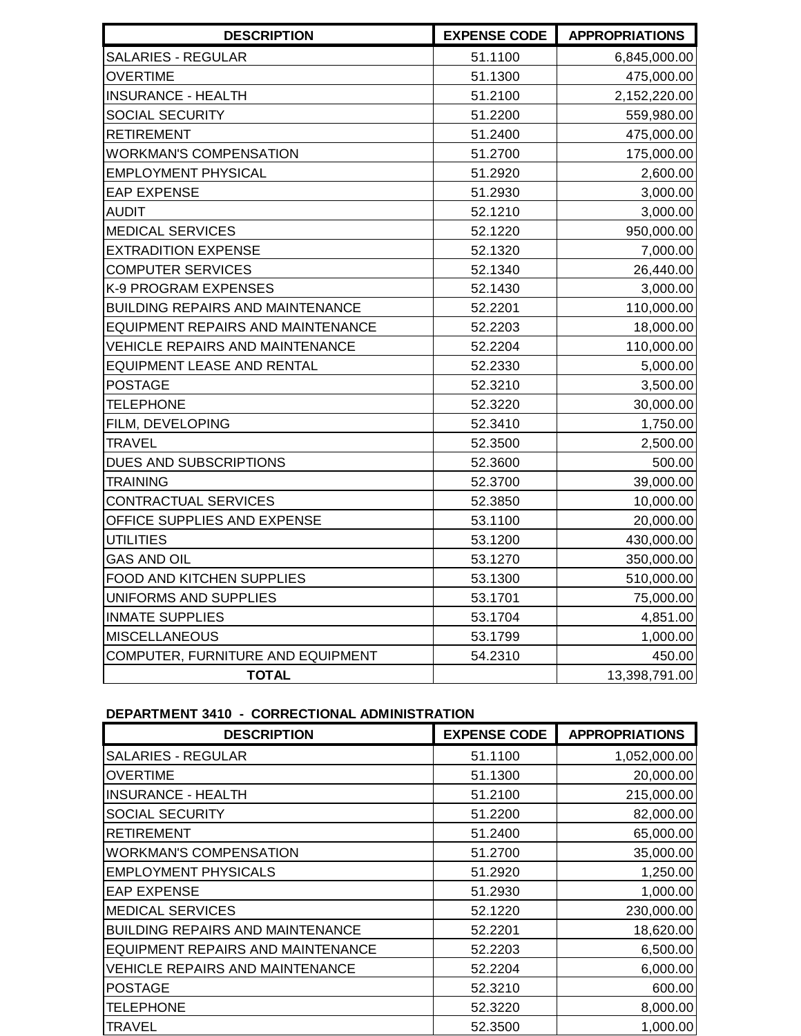| <b>DESCRIPTION</b>                       | <b>EXPENSE CODE</b> | <b>APPROPRIATIONS</b> |
|------------------------------------------|---------------------|-----------------------|
| <b>SALARIES - REGULAR</b>                | 51.1100             | 6,845,000.00          |
| <b>OVERTIME</b>                          | 51.1300             | 475,000.00            |
| <b>INSURANCE - HEALTH</b>                | 51.2100             | 2,152,220.00          |
| SOCIAL SECURITY                          | 51.2200             | 559,980.00            |
| <b>RETIREMENT</b>                        | 51.2400             | 475,000.00            |
| <b>WORKMAN'S COMPENSATION</b>            | 51.2700             | 175,000.00            |
| <b>EMPLOYMENT PHYSICAL</b>               | 51.2920             | 2,600.00              |
| <b>EAP EXPENSE</b>                       | 51.2930             | 3,000.00              |
| <b>AUDIT</b>                             | 52.1210             | 3,000.00              |
| <b>MEDICAL SERVICES</b>                  | 52.1220             | 950,000.00            |
| <b>EXTRADITION EXPENSE</b>               | 52.1320             | 7,000.00              |
| <b>COMPUTER SERVICES</b>                 | 52.1340             | 26,440.00             |
| K-9 PROGRAM EXPENSES                     | 52.1430             | 3,000.00              |
| <b>BUILDING REPAIRS AND MAINTENANCE</b>  | 52.2201             | 110,000.00            |
| <b>EQUIPMENT REPAIRS AND MAINTENANCE</b> | 52.2203             | 18,000.00             |
| <b>VEHICLE REPAIRS AND MAINTENANCE</b>   | 52.2204             | 110,000.00            |
| EQUIPMENT LEASE AND RENTAL               | 52.2330             | 5,000.00              |
| <b>POSTAGE</b>                           | 52.3210             | 3,500.00              |
| <b>TELEPHONE</b>                         | 52.3220             | 30,000.00             |
| FILM, DEVELOPING                         | 52.3410             | 1,750.00              |
| TRAVEL                                   | 52.3500             | 2,500.00              |
| DUES AND SUBSCRIPTIONS                   | 52.3600             | 500.00                |
| <b>TRAINING</b>                          | 52.3700             | 39,000.00             |
| CONTRACTUAL SERVICES                     | 52.3850             | 10,000.00             |
| OFFICE SUPPLIES AND EXPENSE              | 53.1100             | 20,000.00             |
| <b>UTILITIES</b>                         | 53.1200             | 430,000.00            |
| <b>GAS AND OIL</b>                       | 53.1270             | 350,000.00            |
| <b>FOOD AND KITCHEN SUPPLIES</b>         | 53.1300             | 510,000.00            |
| UNIFORMS AND SUPPLIES                    | 53.1701             | 75,000.00             |
| <b>INMATE SUPPLIES</b>                   | 53.1704             | 4,851.00              |
| <b>MISCELLANEOUS</b>                     | 53.1799             | 1,000.00              |
| COMPUTER, FURNITURE AND EQUIPMENT        | 54.2310             | 450.00                |
| <b>TOTAL</b>                             |                     | 13,398,791.00         |

## **DEPARTMENT 3410 - CORRECTIONAL ADMINISTRATION**

| <b>DESCRIPTION</b>                      | <b>EXPENSE CODE</b> | <b>APPROPRIATIONS</b> |
|-----------------------------------------|---------------------|-----------------------|
| <b>SALARIES - REGULAR</b>               | 51.1100             | 1,052,000.00          |
| <b>OVERTIME</b>                         | 51.1300             | 20,000.00             |
| <b>INSURANCE - HEALTH</b>               | 51.2100             | 215,000.00            |
| <b>SOCIAL SECURITY</b>                  | 51.2200             | 82,000.00             |
| <b>RETIREMENT</b>                       | 51.2400             | 65,000.00             |
| <b>WORKMAN'S COMPENSATION</b>           | 51.2700             | 35,000.00             |
| <b>EMPLOYMENT PHYSICALS</b>             | 51.2920             | 1,250.00              |
| <b>EAP EXPENSE</b>                      | 51.2930             | 1,000.00              |
| <b>MEDICAL SERVICES</b>                 | 52.1220             | 230,000.00            |
| <b>BUILDING REPAIRS AND MAINTENANCE</b> | 52.2201             | 18,620.00             |
| EQUIPMENT REPAIRS AND MAINTENANCE       | 52.2203             | 6,500.00              |
| <b>VEHICLE REPAIRS AND MAINTENANCE</b>  | 52.2204             | 6,000.00              |
| <b>POSTAGE</b>                          | 52.3210             | 600.00                |
| <b>TELEPHONE</b>                        | 52,3220             | 8,000.00              |
| TRAVEL                                  | 52,3500             | 1,000.00              |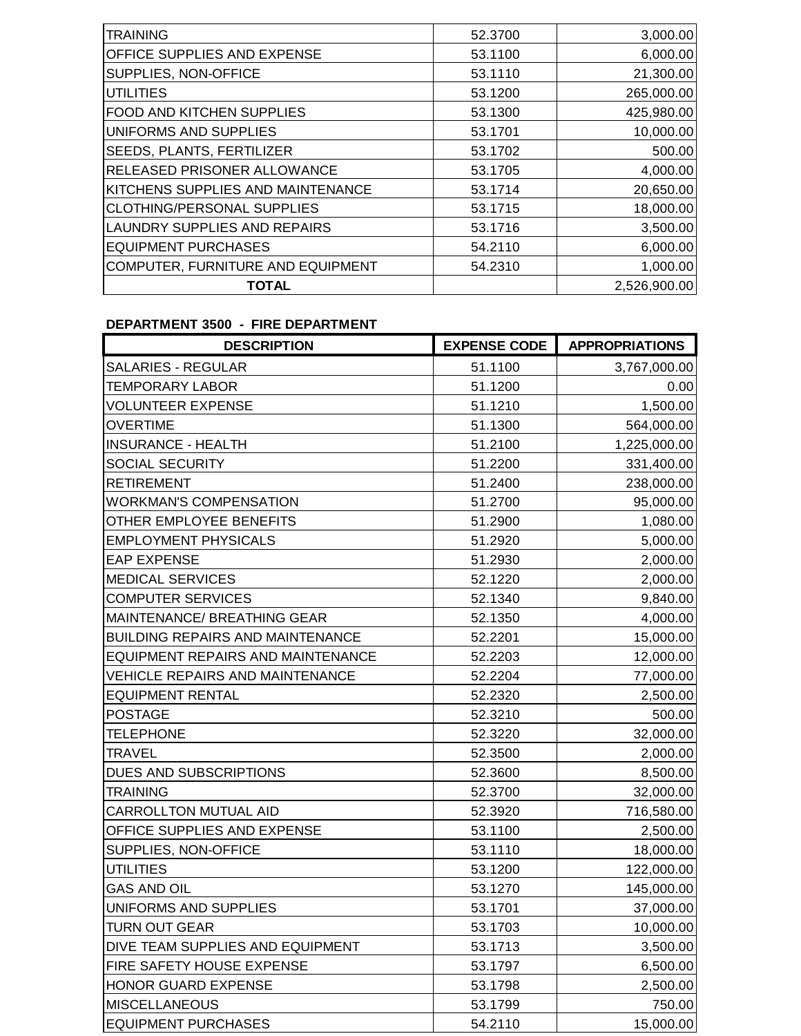| <b>TRAINING</b>                    | 52.3700 | 3,000.00     |
|------------------------------------|---------|--------------|
| <b>OFFICE SUPPLIES AND EXPENSE</b> | 53.1100 | 6,000.00     |
| SUPPLIES, NON-OFFICE               | 53.1110 | 21,300.00    |
| <b>UTILITIES</b>                   | 53.1200 | 265,000.00   |
| <b>FOOD AND KITCHEN SUPPLIES</b>   | 53.1300 | 425,980.00   |
| UNIFORMS AND SUPPLIES              | 53.1701 | 10,000.00    |
| <b>SEEDS, PLANTS, FERTILIZER</b>   | 53.1702 | 500.00       |
| <b>RELEASED PRISONER ALLOWANCE</b> | 53.1705 | 4,000.00     |
| KITCHENS SUPPLIES AND MAINTENANCE  | 53.1714 | 20,650.00    |
| <b>CLOTHING/PERSONAL SUPPLIES</b>  | 53.1715 | 18,000.00    |
| LAUNDRY SUPPLIES AND REPAIRS       | 53.1716 | 3,500.00     |
| <b>EQUIPMENT PURCHASES</b>         | 54.2110 | 6,000.00     |
| COMPUTER, FURNITURE AND EQUIPMENT  | 54.2310 | 1,000.00     |
| <b>TOTAL</b>                       |         | 2,526,900.00 |
|                                    |         |              |

# **DEPARTMENT 3500 - FIRE DEPARTMENT**

| <b>DESCRIPTION</b>                       | <b>EXPENSE CODE</b> | <b>APPROPRIATIONS</b> |
|------------------------------------------|---------------------|-----------------------|
| <b>SALARIES - REGULAR</b>                | 51.1100             | 3,767,000.00          |
| <b>TEMPORARY LABOR</b>                   | 51.1200             | 0.00                  |
| <b>VOLUNTEER EXPENSE</b>                 | 51.1210             | 1,500.00              |
| <b>OVERTIME</b>                          | 51.1300             | 564,000.00            |
| <b>INSURANCE - HEALTH</b>                | 51.2100             | 1,225,000.00          |
| SOCIAL SECURITY                          | 51.2200             | 331,400.00            |
| <b>RETIREMENT</b>                        | 51.2400             | 238,000.00            |
| <b>WORKMAN'S COMPENSATION</b>            | 51.2700             | 95,000.00             |
| OTHER EMPLOYEE BENEFITS                  | 51.2900             | 1,080.00              |
| <b>EMPLOYMENT PHYSICALS</b>              | 51.2920             | 5,000.00              |
| <b>EAP EXPENSE</b>                       | 51.2930             | 2,000.00              |
| <b>MEDICAL SERVICES</b>                  | 52.1220             | 2,000.00              |
| <b>COMPUTER SERVICES</b>                 | 52.1340             | 9,840.00              |
| <b>MAINTENANCE/ BREATHING GEAR</b>       | 52.1350             | 4,000.00              |
| <b>BUILDING REPAIRS AND MAINTENANCE</b>  | 52.2201             | 15,000.00             |
| <b>EQUIPMENT REPAIRS AND MAINTENANCE</b> | 52.2203             | 12,000.00             |
| <b>VEHICLE REPAIRS AND MAINTENANCE</b>   | 52.2204             | 77,000.00             |
| <b>EQUIPMENT RENTAL</b>                  | 52.2320             | 2,500.00              |
| <b>POSTAGE</b>                           | 52.3210             | 500.00                |
| <b>TELEPHONE</b>                         | 52.3220             | 32,000.00             |
| <b>TRAVEL</b>                            | 52.3500             | 2,000.00              |
| DUES AND SUBSCRIPTIONS                   | 52.3600             | 8,500.00              |
| <b>TRAINING</b>                          | 52.3700             | 32,000.00             |
| <b>CARROLLTON MUTUAL AID</b>             | 52.3920             | 716,580.00            |
| OFFICE SUPPLIES AND EXPENSE              | 53.1100             | 2,500.00              |
| SUPPLIES, NON-OFFICE                     | 53.1110             | 18,000.00             |
| <b>UTILITIES</b>                         | 53.1200             | 122,000.00            |
| <b>GAS AND OIL</b>                       | 53.1270             | 145,000.00            |
| UNIFORMS AND SUPPLIES                    | 53.1701             | 37,000.00             |
| <b>TURN OUT GEAR</b>                     | 53.1703             | 10,000.00             |
| DIVE TEAM SUPPLIES AND EQUIPMENT         | 53.1713             | 3,500.00              |
| FIRE SAFETY HOUSE EXPENSE                | 53.1797             | 6,500.00              |
| HONOR GUARD EXPENSE                      | 53.1798             | 2,500.00              |
| <b>MISCELLANEOUS</b>                     | 53.1799             | 750.00                |
| <b>EQUIPMENT PURCHASES</b>               | 54.2110             | 15,000.00             |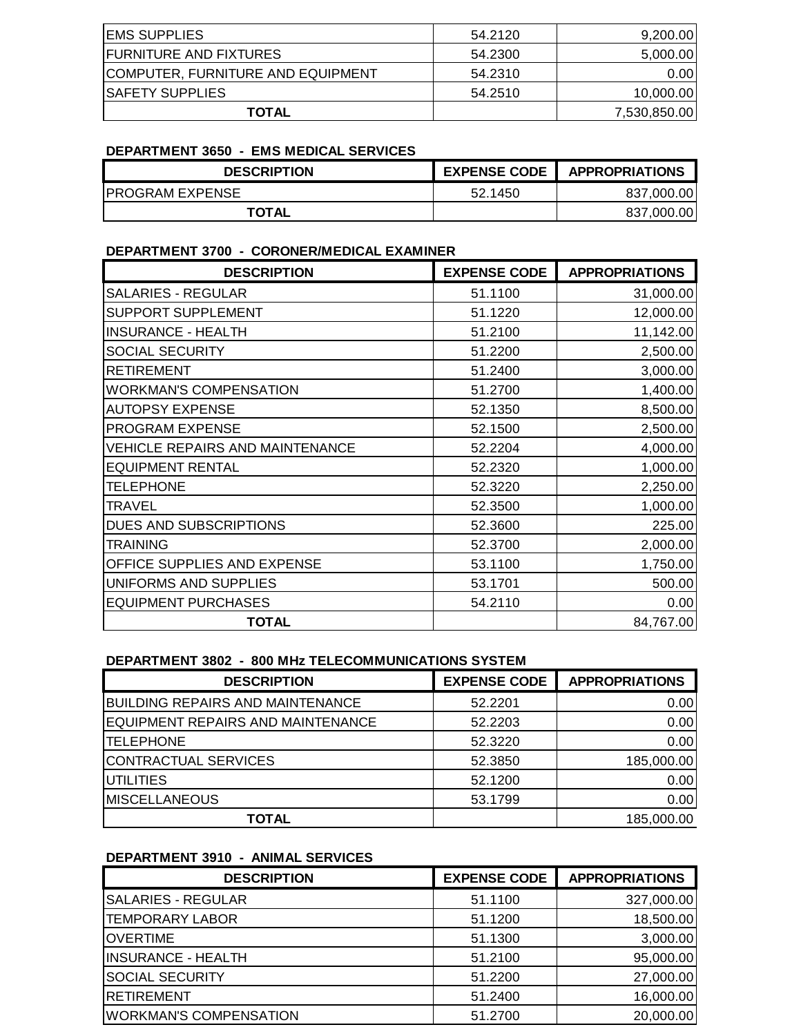| <b>IEMS SUPPLIES</b>                     | 54.2120 | 9,200.00     |
|------------------------------------------|---------|--------------|
| <b>FURNITURE AND FIXTURES</b>            | 54.2300 | 5,000.00     |
| <b>COMPUTER, FURNITURE AND EQUIPMENT</b> | 54.2310 | 0.00         |
| <b>SAFETY SUPPLIES</b>                   | 54.2510 | 10,000.00    |
| <b>TOTAL</b>                             |         | 7,530,850.00 |

#### **DEPARTMENT 3650 - EMS MEDICAL SERVICES**

| <b>DESCRIPTION</b>     | <b>EXPENSE CODE</b> | <b>APPROPRIATIONS</b> |
|------------------------|---------------------|-----------------------|
| <b>PROGRAM EXPENSE</b> | 52.1450             | 837,000.00            |
| <b>TOTAL</b>           |                     | 837,000.00            |

### **DEPARTMENT 3700 - CORONER/MEDICAL EXAMINER**

| <b>DESCRIPTION</b>                     | <b>EXPENSE CODE</b> | <b>APPROPRIATIONS</b> |
|----------------------------------------|---------------------|-----------------------|
| <b>SALARIES - REGULAR</b>              | 51.1100             | 31,000.00             |
| <b>SUPPORT SUPPLEMENT</b>              | 51.1220             | 12,000.00             |
| <b>INSURANCE - HEALTH</b>              | 51.2100             | 11,142.00             |
| <b>SOCIAL SECURITY</b>                 | 51.2200             | 2,500.00              |
| <b>RETIREMENT</b>                      | 51.2400             | 3,000.00              |
| <b>WORKMAN'S COMPENSATION</b>          | 51.2700             | 1,400.00              |
| <b>AUTOPSY EXPENSE</b>                 | 52.1350             | 8,500.00              |
| <b>PROGRAM EXPENSE</b>                 | 52.1500             | 2,500.00              |
| <b>VEHICLE REPAIRS AND MAINTENANCE</b> | 52.2204             | 4,000.00              |
| <b>EQUIPMENT RENTAL</b>                | 52.2320             | 1,000.00              |
| <b>TELEPHONE</b>                       | 52.3220             | 2,250.00              |
| <b>TRAVEL</b>                          | 52.3500             | 1,000.00              |
| DUES AND SUBSCRIPTIONS                 | 52.3600             | 225.00                |
| <b>TRAINING</b>                        | 52,3700             | 2,000.00              |
| OFFICE SUPPLIES AND EXPENSE            | 53.1100             | 1,750.00              |
| UNIFORMS AND SUPPLIES                  | 53.1701             | 500.00                |
| <b>EQUIPMENT PURCHASES</b>             | 54.2110             | 0.00                  |
| <b>TOTAL</b>                           |                     | 84,767.00             |

### **DEPARTMENT 3802 - 800 MHz TELECOMMUNICATIONS SYSTEM**

| <b>DESCRIPTION</b>                      | <b>EXPENSE CODE</b> | <b>APPROPRIATIONS</b> |
|-----------------------------------------|---------------------|-----------------------|
| <b>BUILDING REPAIRS AND MAINTENANCE</b> | 52.2201             | 0.00                  |
| EQUIPMENT REPAIRS AND MAINTENANCE       | 52.2203             | 0.00                  |
| <b>TELEPHONE</b>                        | 52.3220             | 0.00                  |
| CONTRACTUAL SERVICES                    | 52.3850             | 185,000.00            |
| <b>UTILITIES</b>                        | 52.1200             | 0.00                  |
| <b>MISCELLANEOUS</b>                    | 53.1799             | 0.00                  |
| <b>TOTAL</b>                            |                     | 185,000.00            |

## **DEPARTMENT 3910 - ANIMAL SERVICES**

| <b>DESCRIPTION</b>            | <b>EXPENSE CODE</b> | <b>APPROPRIATIONS</b> |
|-------------------------------|---------------------|-----------------------|
| <b>SALARIES - REGULAR</b>     | 51.1100             | 327,000.00            |
| <b>TEMPORARY LABOR</b>        | 51.1200             | 18,500.00             |
| <b>OVERTIME</b>               | 51.1300             | 3,000.00              |
| INSURANCE - HEALTH            | 51.2100             | 95,000.00             |
| <b>SOCIAL SECURITY</b>        | 51.2200             | 27,000.00             |
| <b>RETIREMENT</b>             | 51.2400             | 16,000.00             |
| <b>WORKMAN'S COMPENSATION</b> | 51.2700             | 20,000.00             |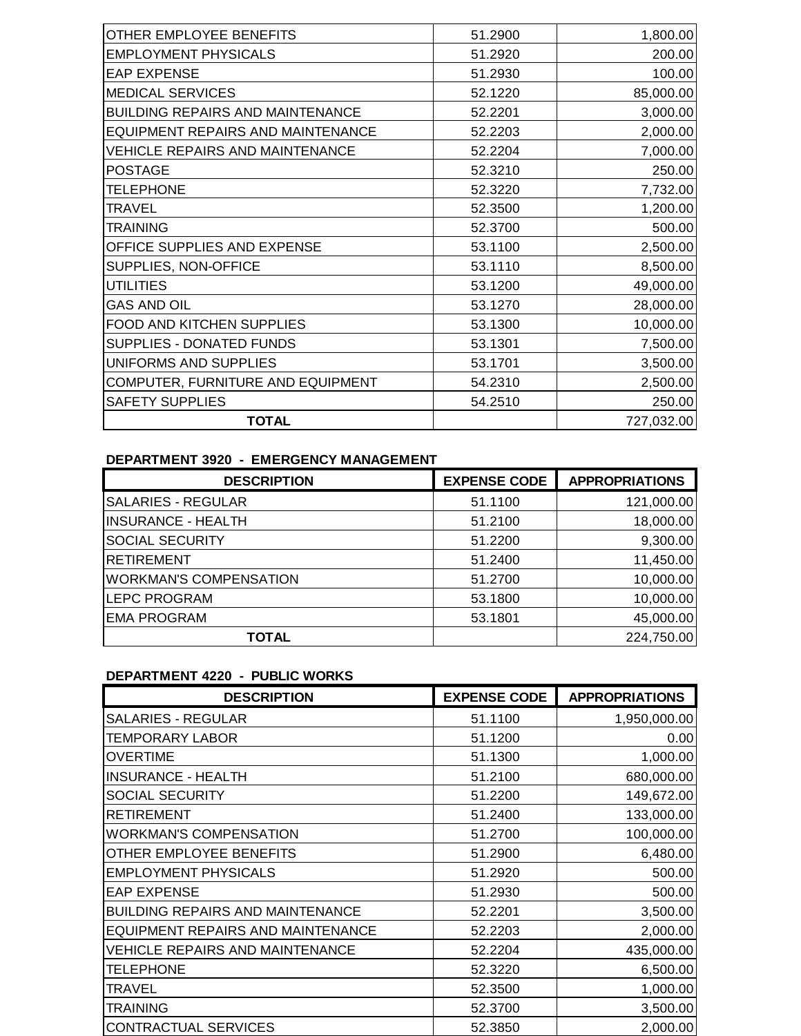| OTHER EMPLOYEE BENEFITS                 | 51.2900 | 1,800.00   |
|-----------------------------------------|---------|------------|
| <b>EMPLOYMENT PHYSICALS</b>             | 51.2920 | 200.00     |
| <b>EAP EXPENSE</b>                      | 51.2930 | 100.00     |
| <b>MEDICAL SERVICES</b>                 | 52.1220 | 85,000.00  |
| <b>BUILDING REPAIRS AND MAINTENANCE</b> | 52.2201 | 3,000.00   |
| EQUIPMENT REPAIRS AND MAINTENANCE       | 52.2203 | 2,000.00   |
| <b>VEHICLE REPAIRS AND MAINTENANCE</b>  | 52.2204 | 7,000.00   |
| <b>POSTAGE</b>                          | 52.3210 | 250.00     |
| <b>TELEPHONE</b>                        | 52.3220 | 7,732.00   |
| <b>TRAVEL</b>                           | 52.3500 | 1,200.00   |
| <b>TRAINING</b>                         | 52.3700 | 500.00     |
| OFFICE SUPPLIES AND EXPENSE             | 53.1100 | 2,500.00   |
| SUPPLIES, NON-OFFICE                    | 53.1110 | 8,500.00   |
| <b>UTILITIES</b>                        | 53.1200 | 49,000.00  |
| <b>GAS AND OIL</b>                      | 53.1270 | 28,000.00  |
| FOOD AND KITCHEN SUPPLIES               | 53.1300 | 10,000.00  |
| SUPPLIES - DONATED FUNDS                | 53.1301 | 7,500.00   |
| UNIFORMS AND SUPPLIES                   | 53.1701 | 3,500.00   |
| COMPUTER, FURNITURE AND EQUIPMENT       | 54.2310 | 2,500.00   |
| <b>SAFETY SUPPLIES</b>                  | 54.2510 | 250.00     |
| <b>TOTAL</b>                            |         | 727,032.00 |

### **DEPARTMENT 3920 - EMERGENCY MANAGEMENT**

| <b>DESCRIPTION</b>            | <b>EXPENSE CODE</b> | <b>APPROPRIATIONS</b> |
|-------------------------------|---------------------|-----------------------|
| <b>SALARIES - REGULAR</b>     | 51.1100             | 121,000.00            |
| <b>INSURANCE - HEALTH</b>     | 51.2100             | 18,000.00             |
| <b>SOCIAL SECURITY</b>        | 51.2200             | 9,300.00              |
| <b>RETIREMENT</b>             | 51.2400             | 11,450.00             |
| <b>WORKMAN'S COMPENSATION</b> | 51.2700             | 10,000.00             |
| <b>LEPC PROGRAM</b>           | 53.1800             | 10,000.00             |
| <b>EMA PROGRAM</b>            | 53.1801             | 45,000.00             |
| TOTAL                         |                     | 224,750.00            |

# **DEPARTMENT 4220 - PUBLIC WORKS**

| <b>DESCRIPTION</b>                      | <b>EXPENSE CODE</b> | <b>APPROPRIATIONS</b> |
|-----------------------------------------|---------------------|-----------------------|
| <b>SALARIES - REGULAR</b>               | 51.1100             | 1,950,000.00          |
| <b>TEMPORARY LABOR</b>                  | 51.1200             | 0.00                  |
| <b>OVERTIME</b>                         | 51.1300             | 1,000.00              |
| <b>INSURANCE - HEALTH</b>               | 51.2100             | 680,000.00            |
| <b>SOCIAL SECURITY</b>                  | 51.2200             | 149,672.00            |
| <b>RETIREMENT</b>                       | 51.2400             | 133,000.00            |
| <b>WORKMAN'S COMPENSATION</b>           | 51.2700             | 100,000.00            |
| OTHER EMPLOYEE BENEFITS                 | 51.2900             | 6,480.00              |
| <b>EMPLOYMENT PHYSICALS</b>             | 51.2920             | 500.00                |
| <b>EAP EXPENSE</b>                      | 51.2930             | 500.00                |
| <b>BUILDING REPAIRS AND MAINTENANCE</b> | 52.2201             | 3,500.00              |
| EQUIPMENT REPAIRS AND MAINTENANCE       | 52.2203             | 2,000.00              |
| <b>VEHICLE REPAIRS AND MAINTENANCE</b>  | 52.2204             | 435,000.00            |
| <b>TELEPHONE</b>                        | 52.3220             | 6,500.00              |
| <b>TRAVEL</b>                           | 52.3500             | 1,000.00              |
| <b>TRAINING</b>                         | 52.3700             | 3,500.00              |
| CONTRACTUAL SERVICES                    | 52.3850             | 2,000.00              |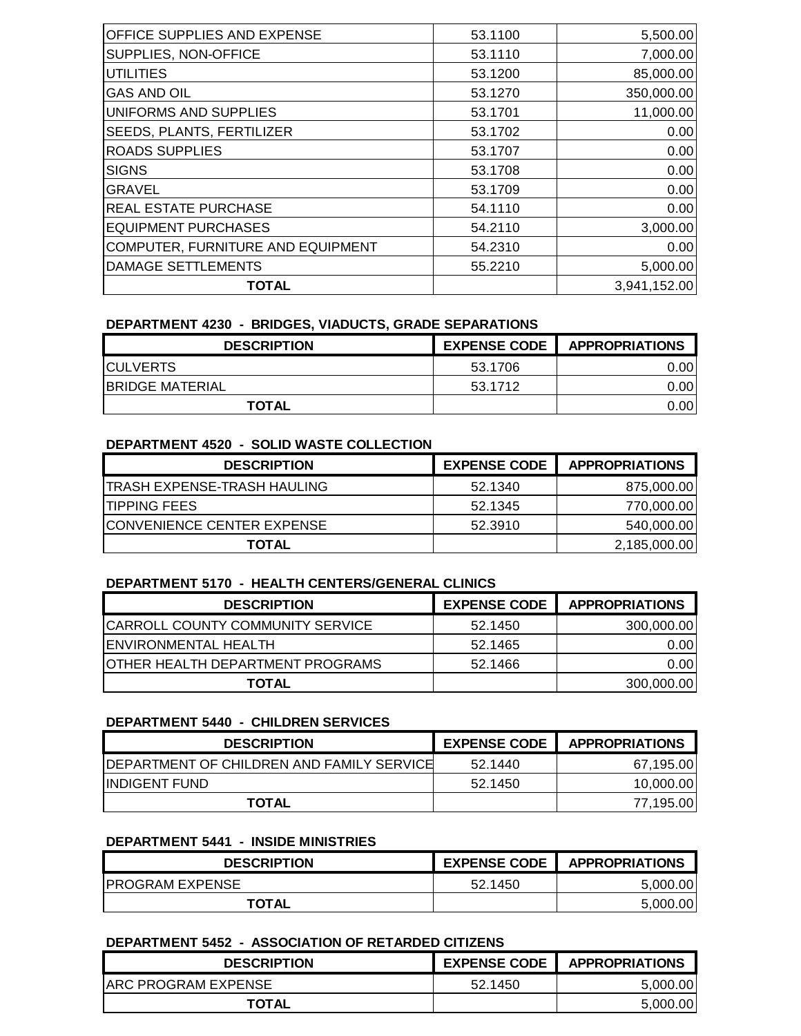| 53.1100 | 5,500.00     |
|---------|--------------|
| 53.1110 | 7,000.00     |
| 53.1200 | 85,000.00    |
| 53.1270 | 350,000.00   |
| 53.1701 | 11,000.00    |
| 53.1702 | 0.00         |
| 53.1707 | 0.00         |
| 53.1708 | 0.00         |
| 53.1709 | 0.00         |
| 54.1110 | 0.00         |
| 54.2110 | 3,000.00     |
| 54.2310 | 0.00         |
| 55.2210 | 5,000.00     |
|         | 3,941,152.00 |
|         |              |

# **DEPARTMENT 4230 - BRIDGES, VIADUCTS, GRADE SEPARATIONS**

| <b>DESCRIPTION</b>      | <b>EXPENSE CODE</b> | <b>APPROPRIATIONS</b> |
|-------------------------|---------------------|-----------------------|
| <b>ICULVERTS</b>        | 53.1706             | 0.001                 |
| <b>IBRIDGE MATERIAL</b> | 53.1712             | 0.001                 |
| TOTAL                   |                     | 0.00                  |

### **DEPARTMENT 4520 - SOLID WASTE COLLECTION**

| <b>DESCRIPTION</b>                | <b>EXPENSE CODE</b> | <b>APPROPRIATIONS</b> |
|-----------------------------------|---------------------|-----------------------|
| 'TRASH EXPENSE-TRASH HAULING      | 52.1340             | 875,000.00            |
| <b>TIPPING FEES</b>               | 52.1345             | 770,000.00            |
| <b>CONVENIENCE CENTER EXPENSE</b> | 52.3910             | 540,000.00            |
| TOTAL                             |                     | 2,185,000.00          |

## **DEPARTMENT 5170 - HEALTH CENTERS/GENERAL CLINICS**

| <b>DESCRIPTION</b>                      | <b>EXPENSE CODE</b> | <b>APPROPRIATIONS</b> |
|-----------------------------------------|---------------------|-----------------------|
| <b>CARROLL COUNTY COMMUNITY SERVICE</b> | 52.1450             | 300,000.00            |
| <b>IENVIRONMENTAL HEALTH</b>            | 52.1465             | 0.00I                 |
| <b>OTHER HEALTH DEPARTMENT PROGRAMS</b> | 52.1466             | 0.001                 |
| <b>TOTAL</b>                            |                     | 300,000.00            |

### **DEPARTMENT 5440 - CHILDREN SERVICES**

| <b>DESCRIPTION</b>                                | <b>EXPENSE CODE</b> | <b>APPROPRIATIONS</b> |
|---------------------------------------------------|---------------------|-----------------------|
| <b>IDEPARTMENT OF CHILDREN AND FAMILY SERVICE</b> | 52.1440             | 67,195.00             |
| <b>IINDIGENT FUND</b>                             | 52.1450             | 10,000.00             |
| <b>TOTAL</b>                                      |                     | 77,195.00             |

### **DEPARTMENT 5441 - INSIDE MINISTRIES**

| <b>DESCRIPTION</b>      | <b>EXPENSE CODE</b> | <b>APPROPRIATIONS</b> |
|-------------------------|---------------------|-----------------------|
| <b>IPROGRAM EXPENSE</b> | 52.1450             | 5.000.00              |
| <b>TOTAL</b>            |                     | 5,000.00              |

### **DEPARTMENT 5452 - ASSOCIATION OF RETARDED CITIZENS**

| <b>DESCRIPTION</b>  | <b>EXPENSE CODE</b> | <b>APPROPRIATIONS</b> |
|---------------------|---------------------|-----------------------|
| ARC PROGRAM EXPENSE | 52.1450             | 5.000.00              |
| <b>TOTAL</b>        |                     | 5,000.00              |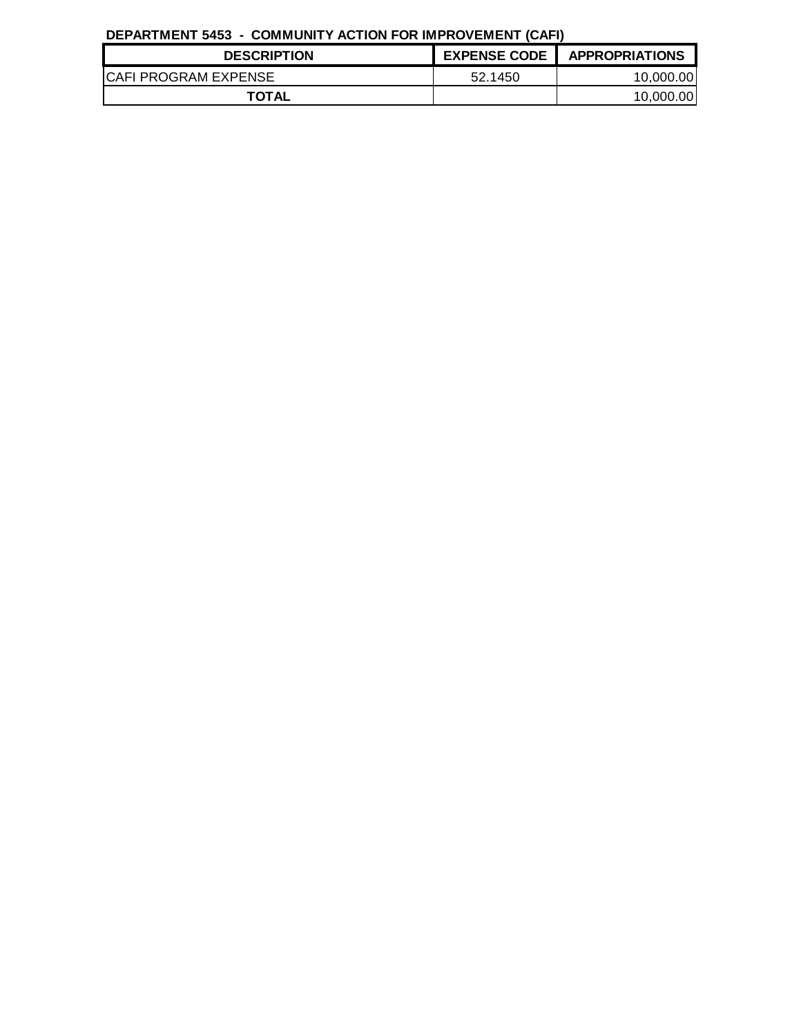# **DEPARTMENT 5453 - COMMUNITY ACTION FOR IMPROVEMENT (CAFI)**

| <b>DESCRIPTION</b>          | <b>EXPENSE CODE</b> | <b>APPROPRIATIONS</b> |
|-----------------------------|---------------------|-----------------------|
| <b>CAFI PROGRAM EXPENSE</b> | 52.1450             | 10,000.00             |
| <b>TOTAL</b>                |                     | 10.000.00             |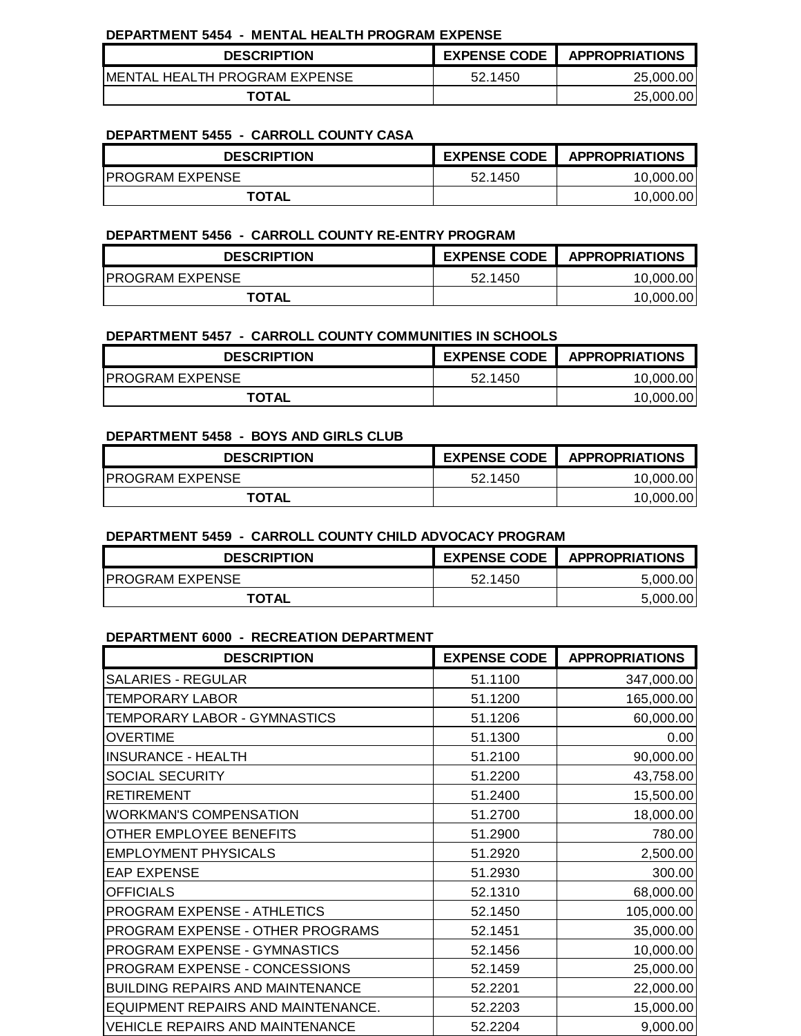#### **DEPARTMENT 5454 - MENTAL HEALTH PROGRAM EXPENSE**

| <b>DESCRIPTION</b>             | <b>EXPENSE CODE</b> | <b>APPROPRIATIONS</b> |
|--------------------------------|---------------------|-----------------------|
| IMENTAL HEALTH PROGRAM EXPENSE | 52.1450             | 25,000.00             |
| <b>TOTAL</b>                   |                     | 25,000.00             |

#### **DEPARTMENT 5455 - CARROLL COUNTY CASA**

| <b>DESCRIPTION</b>     | <b>EXPENSE CODE</b> | <b>APPROPRIATIONS</b> |
|------------------------|---------------------|-----------------------|
| <b>PROGRAM EXPENSE</b> | 52.1450             | 10,000.00             |
| <b>TOTAL</b>           |                     | 10,000.00             |

#### **DEPARTMENT 5456 - CARROLL COUNTY RE-ENTRY PROGRAM**

| <b>DESCRIPTION</b>      | <b>EXPENSE CODE</b> | <b>APPROPRIATIONS</b> |
|-------------------------|---------------------|-----------------------|
| <b>IPROGRAM EXPENSE</b> | 52.1450             | 10.000.00             |
| <b>TOTAL</b>            |                     | 10.000.00             |

#### **DEPARTMENT 5457 - CARROLL COUNTY COMMUNITIES IN SCHOOLS**

| <b>DESCRIPTION</b>     | <b>EXPENSE CODE</b> | <b>APPROPRIATIONS</b> |
|------------------------|---------------------|-----------------------|
| <b>PROGRAM EXPENSE</b> | 52.1450             | 10,000.00             |
| <b>TOTAL</b>           |                     | 10.000.00             |

#### **DEPARTMENT 5458 - BOYS AND GIRLS CLUB**

| <b>DESCRIPTION</b>     | <b>EXPENSE CODE</b> | <b>APPROPRIATIONS</b> |
|------------------------|---------------------|-----------------------|
| <b>PROGRAM EXPENSE</b> | 52.1450             | 10,000.00             |
| <b>TOTAL</b>           |                     | 10,000.00             |

### **DEPARTMENT 5459 - CARROLL COUNTY CHILD ADVOCACY PROGRAM**

| <b>DESCRIPTION</b>     | <b>EXPENSE CODE</b> | <b>APPROPRIATIONS</b> |
|------------------------|---------------------|-----------------------|
| <b>PROGRAM EXPENSE</b> | 52.1450             | 5.000.00              |
| <b>TOTAL</b>           |                     | 5,000.00              |

### **DEPARTMENT 6000 - RECREATION DEPARTMENT**

| <b>DESCRIPTION</b>                      | <b>EXPENSE CODE</b> | <b>APPROPRIATIONS</b> |
|-----------------------------------------|---------------------|-----------------------|
| <b>SALARIES - REGULAR</b>               | 51.1100             | 347,000.00            |
| TEMPORARY LABOR                         | 51.1200             | 165,000.00            |
| TEMPORARY LABOR - GYMNASTICS            | 51.1206             | 60,000.00             |
| <b>OVERTIME</b>                         | 51.1300             | 0.00                  |
| <b>INSURANCE - HEALTH</b>               | 51.2100             | 90,000.00             |
| SOCIAL SECURITY                         | 51.2200             | 43,758.00             |
| <b>RETIREMENT</b>                       | 51.2400             | 15,500.00             |
| <b>WORKMAN'S COMPENSATION</b>           | 51.2700             | 18,000.00             |
| OTHER EMPLOYEE BENEFITS                 | 51.2900             | 780.00                |
| <b>EMPLOYMENT PHYSICALS</b>             | 51.2920             | 2,500.00              |
| <b>EAP EXPENSE</b>                      | 51.2930             | 300.00                |
| <b>OFFICIALS</b>                        | 52.1310             | 68,000.00             |
| PROGRAM EXPENSE - ATHLETICS             | 52.1450             | 105,000.00            |
| PROGRAM EXPENSE - OTHER PROGRAMS        | 52.1451             | 35,000.00             |
| PROGRAM EXPENSE - GYMNASTICS            | 52.1456             | 10,000.00             |
| PROGRAM EXPENSE - CONCESSIONS           | 52.1459             | 25,000.00             |
| <b>BUILDING REPAIRS AND MAINTENANCE</b> | 52.2201             | 22,000.00             |
| EQUIPMENT REPAIRS AND MAINTENANCE.      | 52.2203             | 15,000.00             |
| <b>VEHICLE REPAIRS AND MAINTENANCE</b>  | 52.2204             | 9,000.00              |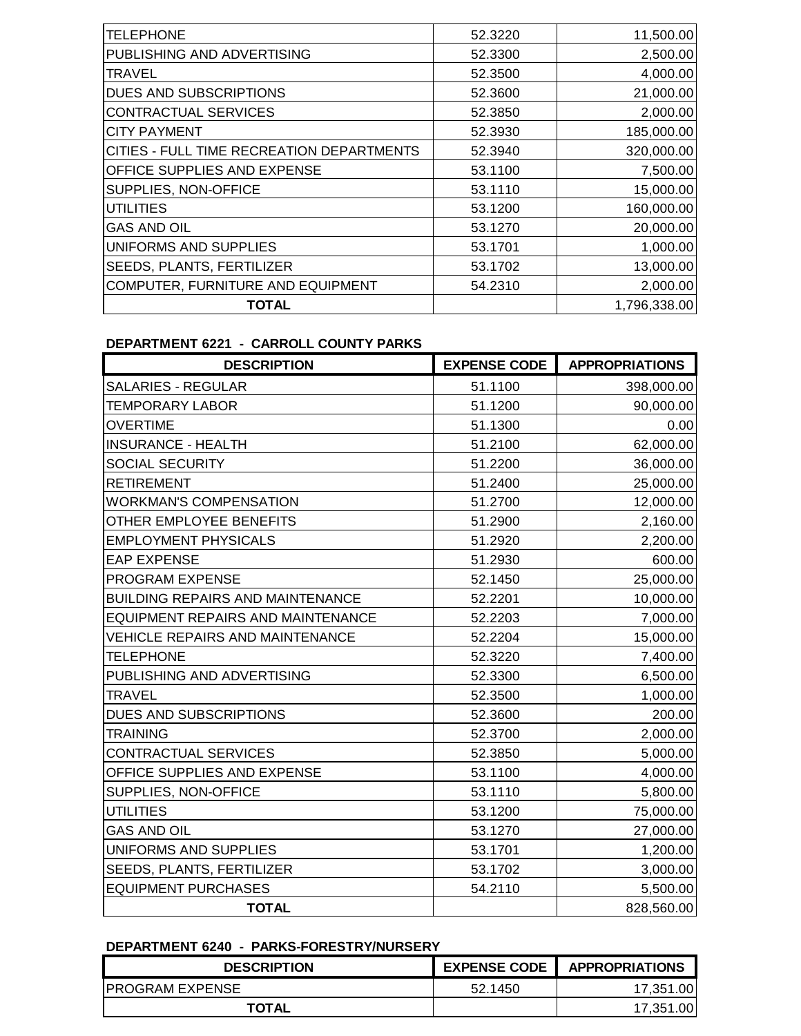| <b>TELEPHONE</b>                                 | 52.3220 | 11,500.00    |
|--------------------------------------------------|---------|--------------|
| PUBLISHING AND ADVERTISING                       | 52.3300 | 2,500.00     |
| <b>TRAVEL</b>                                    | 52,3500 | 4,000.00     |
| <b>DUES AND SUBSCRIPTIONS</b>                    | 52.3600 | 21,000.00    |
| <b>CONTRACTUAL SERVICES</b>                      | 52.3850 | 2,000.00     |
| <b>CITY PAYMENT</b>                              | 52.3930 | 185,000.00   |
| <b>CITIES - FULL TIME RECREATION DEPARTMENTS</b> | 52.3940 | 320,000.00   |
| <b>OFFICE SUPPLIES AND EXPENSE</b>               | 53.1100 | 7,500.00     |
| <b>SUPPLIES, NON-OFFICE</b>                      | 53.1110 | 15,000.00    |
| <b>UTILITIES</b>                                 | 53.1200 | 160,000.00   |
| <b>GAS AND OIL</b>                               | 53.1270 | 20,000.00    |
| UNIFORMS AND SUPPLIES                            | 53.1701 | 1,000.00     |
| <b>SEEDS, PLANTS, FERTILIZER</b>                 | 53.1702 | 13,000.00    |
| COMPUTER, FURNITURE AND EQUIPMENT                | 54.2310 | 2,000.00     |
| TOTAL                                            |         | 1,796,338.00 |

# **DEPARTMENT 6221 - CARROLL COUNTY PARKS**

| <b>DESCRIPTION</b>                       | <b>EXPENSE CODE</b> | <b>APPROPRIATIONS</b> |
|------------------------------------------|---------------------|-----------------------|
| <b>SALARIES - REGULAR</b>                | 51.1100             | 398,000.00            |
| <b>TEMPORARY LABOR</b>                   | 51.1200             | 90,000.00             |
| <b>OVERTIME</b>                          | 51.1300             | 0.00                  |
| <b>INSURANCE - HEALTH</b>                | 51.2100             | 62,000.00             |
| SOCIAL SECURITY                          | 51.2200             | 36,000.00             |
| <b>RETIREMENT</b>                        | 51.2400             | 25,000.00             |
| <b>WORKMAN'S COMPENSATION</b>            | 51.2700             | 12,000.00             |
| OTHER EMPLOYEE BENEFITS                  | 51.2900             | 2,160.00              |
| <b>EMPLOYMENT PHYSICALS</b>              | 51.2920             | 2,200.00              |
| <b>EAP EXPENSE</b>                       | 51.2930             | 600.00                |
| PROGRAM EXPENSE                          | 52.1450             | 25,000.00             |
| <b>BUILDING REPAIRS AND MAINTENANCE</b>  | 52.2201             | 10,000.00             |
| <b>EQUIPMENT REPAIRS AND MAINTENANCE</b> | 52.2203             | 7,000.00              |
| <b>VEHICLE REPAIRS AND MAINTENANCE</b>   | 52.2204             | 15,000.00             |
| TELEPHONE                                | 52.3220             | 7,400.00              |
| PUBLISHING AND ADVERTISING               | 52.3300             | 6,500.00              |
| <b>TRAVEL</b>                            | 52.3500             | 1,000.00              |
| DUES AND SUBSCRIPTIONS                   | 52.3600             | 200.00                |
| <b>TRAINING</b>                          | 52.3700             | 2,000.00              |
| CONTRACTUAL SERVICES                     | 52.3850             | 5,000.00              |
| OFFICE SUPPLIES AND EXPENSE              | 53.1100             | 4,000.00              |
| SUPPLIES, NON-OFFICE                     | 53.1110             | 5,800.00              |
| <b>UTILITIES</b>                         | 53.1200             | 75,000.00             |
| <b>GAS AND OIL</b>                       | 53.1270             | 27,000.00             |
| UNIFORMS AND SUPPLIES                    | 53.1701             | 1,200.00              |
| SEEDS, PLANTS, FERTILIZER                | 53.1702             | 3,000.00              |
| <b>EQUIPMENT PURCHASES</b>               | 54.2110             | 5,500.00              |
| <b>TOTAL</b>                             |                     | 828,560.00            |

# **DEPARTMENT 6240 - PARKS-FORESTRY/NURSERY**

| <b>DESCRIPTION</b>      | <b>EXPENSE CODE</b> | <b>APPROPRIATIONS</b> |
|-------------------------|---------------------|-----------------------|
| <b>IPROGRAM EXPENSE</b> | 52.1450             | 17.351.00             |
| <b>TOTAL</b>            |                     | 1.00<br>17.351        |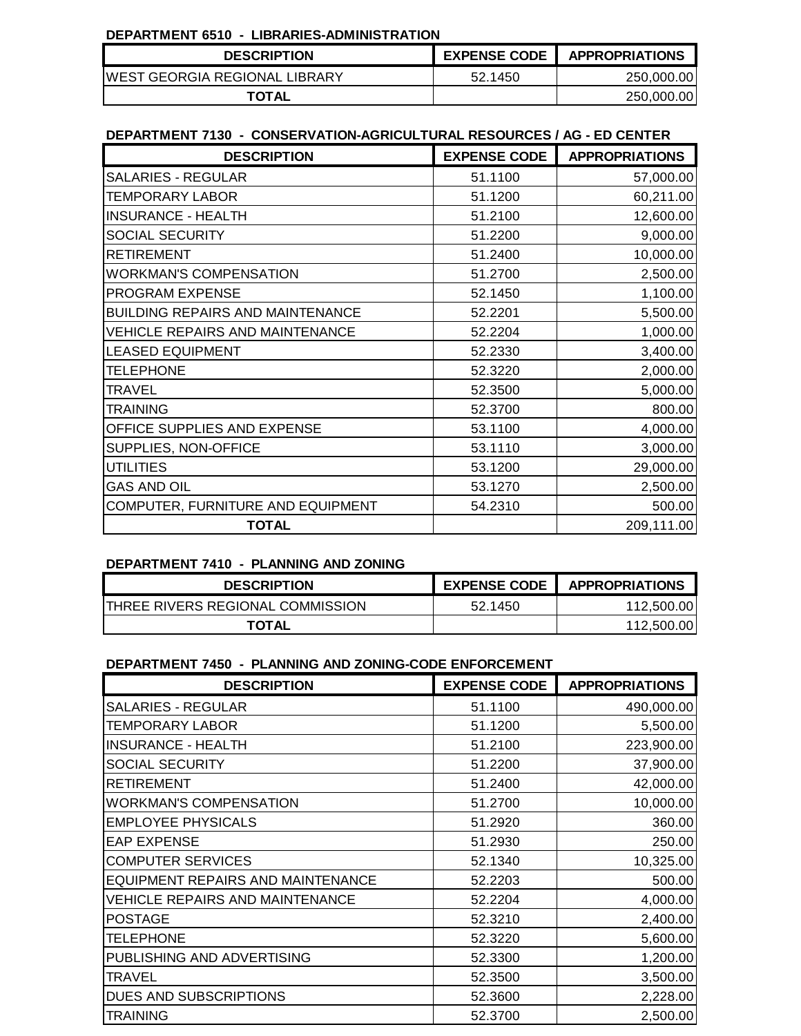#### **DEPARTMENT 6510 - LIBRARIES-ADMINISTRATION**

| <b>DESCRIPTION</b>                    | <b>EXPENSE CODE</b> | <b>APPROPRIATIONS</b> |
|---------------------------------------|---------------------|-----------------------|
| <b>IWEST GEORGIA REGIONAL LIBRARY</b> | 52.1450             | 250,000.00            |
| <b>TOTAL</b>                          |                     | 250,000.00            |

### **DEPARTMENT 7130 - CONSERVATION-AGRICULTURAL RESOURCES / AG - ED CENTER**

| <b>DESCRIPTION</b>                      | <b>EXPENSE CODE</b> | <b>APPROPRIATIONS</b> |
|-----------------------------------------|---------------------|-----------------------|
| <b>SALARIES - REGULAR</b>               | 51.1100             | 57,000.00             |
| <b>TEMPORARY LABOR</b>                  | 51.1200             | 60,211.00             |
| <b>INSURANCE - HEALTH</b>               | 51.2100             | 12,600.00             |
| SOCIAL SECURITY                         | 51.2200             | 9,000.00              |
| <b>RETIREMENT</b>                       | 51.2400             | 10,000.00             |
| <b>WORKMAN'S COMPENSATION</b>           | 51.2700             | 2,500.00              |
| PROGRAM EXPENSE                         | 52.1450             | 1,100.00              |
| <b>BUILDING REPAIRS AND MAINTENANCE</b> | 52.2201             | 5,500.00              |
| <b>VEHICLE REPAIRS AND MAINTENANCE</b>  | 52.2204             | 1,000.00              |
| <b>LEASED EQUIPMENT</b>                 | 52.2330             | 3,400.00              |
| <b>TELEPHONE</b>                        | 52.3220             | 2,000.00              |
| <b>TRAVEL</b>                           | 52.3500             | 5,000.00              |
| <b>TRAINING</b>                         | 52.3700             | 800.00                |
| OFFICE SUPPLIES AND EXPENSE             | 53.1100             | 4,000.00              |
| SUPPLIES, NON-OFFICE                    | 53.1110             | 3,000.00              |
| <b>UTILITIES</b>                        | 53.1200             | 29,000.00             |
| <b>GAS AND OIL</b>                      | 53.1270             | 2,500.00              |
| COMPUTER, FURNITURE AND EQUIPMENT       | 54.2310             | 500.00                |
| <b>TOTAL</b>                            |                     | 209,111.00            |

## **DEPARTMENT 7410 - PLANNING AND ZONING**

| <b>DESCRIPTION</b>               | <b>EXPENSE CODE</b> | <b>APPROPRIATIONS</b> |
|----------------------------------|---------------------|-----------------------|
| THREE RIVERS REGIONAL COMMISSION | 52.1450             | 112,500.00            |
| <b>TOTAL</b>                     |                     | 112.500.00            |

### **DEPARTMENT 7450 - PLANNING AND ZONING-CODE ENFORCEMENT**

| <b>DESCRIPTION</b>                       | <b>EXPENSE CODE</b> | <b>APPROPRIATIONS</b> |
|------------------------------------------|---------------------|-----------------------|
| <b>SALARIES - REGULAR</b>                | 51.1100             | 490,000.00            |
| <b>TEMPORARY LABOR</b>                   | 51.1200             | 5,500.00              |
| <b>INSURANCE - HEALTH</b>                | 51.2100             | 223,900.00            |
| <b>SOCIAL SECURITY</b>                   | 51.2200             | 37,900.00             |
| <b>RETIREMENT</b>                        | 51.2400             | 42,000.00             |
| <b>WORKMAN'S COMPENSATION</b>            | 51.2700             | 10,000.00             |
| <b>EMPLOYEE PHYSICALS</b>                | 51.2920             | 360.00                |
| <b>EAP EXPENSE</b>                       | 51.2930             | 250.00                |
| <b>COMPUTER SERVICES</b>                 | 52.1340             | 10,325.00             |
| <b>EQUIPMENT REPAIRS AND MAINTENANCE</b> | 52.2203             | 500.00                |
| <b>VEHICLE REPAIRS AND MAINTENANCE</b>   | 52.2204             | 4,000.00              |
| <b>POSTAGE</b>                           | 52.3210             | 2,400.00              |
| <b>TELEPHONE</b>                         | 52.3220             | 5,600.00              |
| PUBLISHING AND ADVERTISING               | 52.3300             | 1,200.00              |
| <b>TRAVEL</b>                            | 52.3500             | 3,500.00              |
| DUES AND SUBSCRIPTIONS                   | 52.3600             | 2,228.00              |
| <b>TRAINING</b>                          | 52.3700             | 2,500.00              |